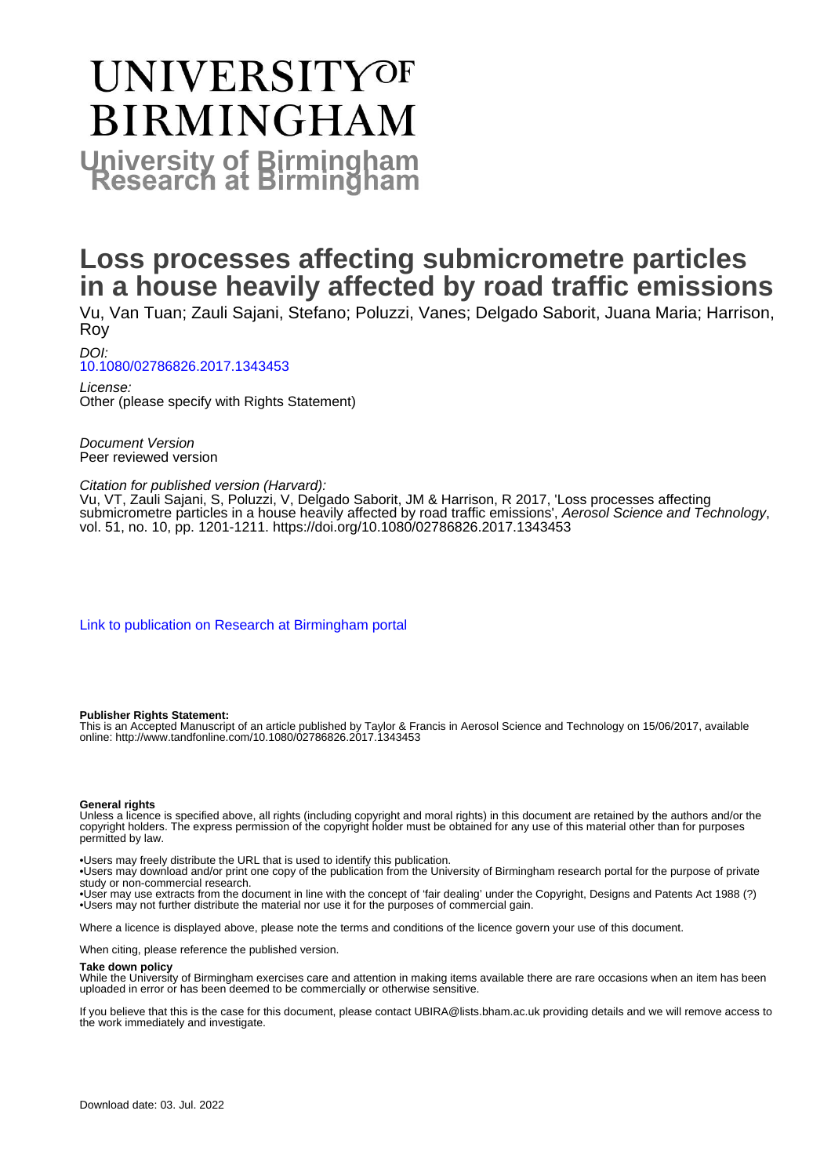# UNIVERSITYOF **BIRMINGHAM University of Birmingham**

# **Loss processes affecting submicrometre particles in a house heavily affected by road traffic emissions**

Vu, Van Tuan; Zauli Sajani, Stefano; Poluzzi, Vanes; Delgado Saborit, Juana Maria; Harrison, Roy

DOI:

[10.1080/02786826.2017.1343453](https://doi.org/10.1080/02786826.2017.1343453)

License: Other (please specify with Rights Statement)

Document Version Peer reviewed version

#### Citation for published version (Harvard):

Vu, VT, Zauli Sajani, S, Poluzzi, V, Delgado Saborit, JM & Harrison, R 2017, 'Loss processes affecting submicrometre particles in a house heavily affected by road traffic emissions', Aerosol Science and Technology, vol. 51, no. 10, pp. 1201-1211.<https://doi.org/10.1080/02786826.2017.1343453>

[Link to publication on Research at Birmingham portal](https://birmingham.elsevierpure.com/en/publications/ba762f09-d0d5-46f4-91d7-28f3066389ea)

#### **Publisher Rights Statement:**

This is an Accepted Manuscript of an article published by Taylor & Francis in Aerosol Science and Technology on 15/06/2017, available online: http://www.tandfonline.com/10.1080/02786826.2017.1343453

#### **General rights**

Unless a licence is specified above, all rights (including copyright and moral rights) in this document are retained by the authors and/or the copyright holders. The express permission of the copyright holder must be obtained for any use of this material other than for purposes permitted by law.

• Users may freely distribute the URL that is used to identify this publication.

• Users may download and/or print one copy of the publication from the University of Birmingham research portal for the purpose of private study or non-commercial research.

• User may use extracts from the document in line with the concept of 'fair dealing' under the Copyright, Designs and Patents Act 1988 (?) • Users may not further distribute the material nor use it for the purposes of commercial gain.

Where a licence is displayed above, please note the terms and conditions of the licence govern your use of this document.

When citing, please reference the published version.

#### **Take down policy**

While the University of Birmingham exercises care and attention in making items available there are rare occasions when an item has been uploaded in error or has been deemed to be commercially or otherwise sensitive.

If you believe that this is the case for this document, please contact UBIRA@lists.bham.ac.uk providing details and we will remove access to the work immediately and investigate.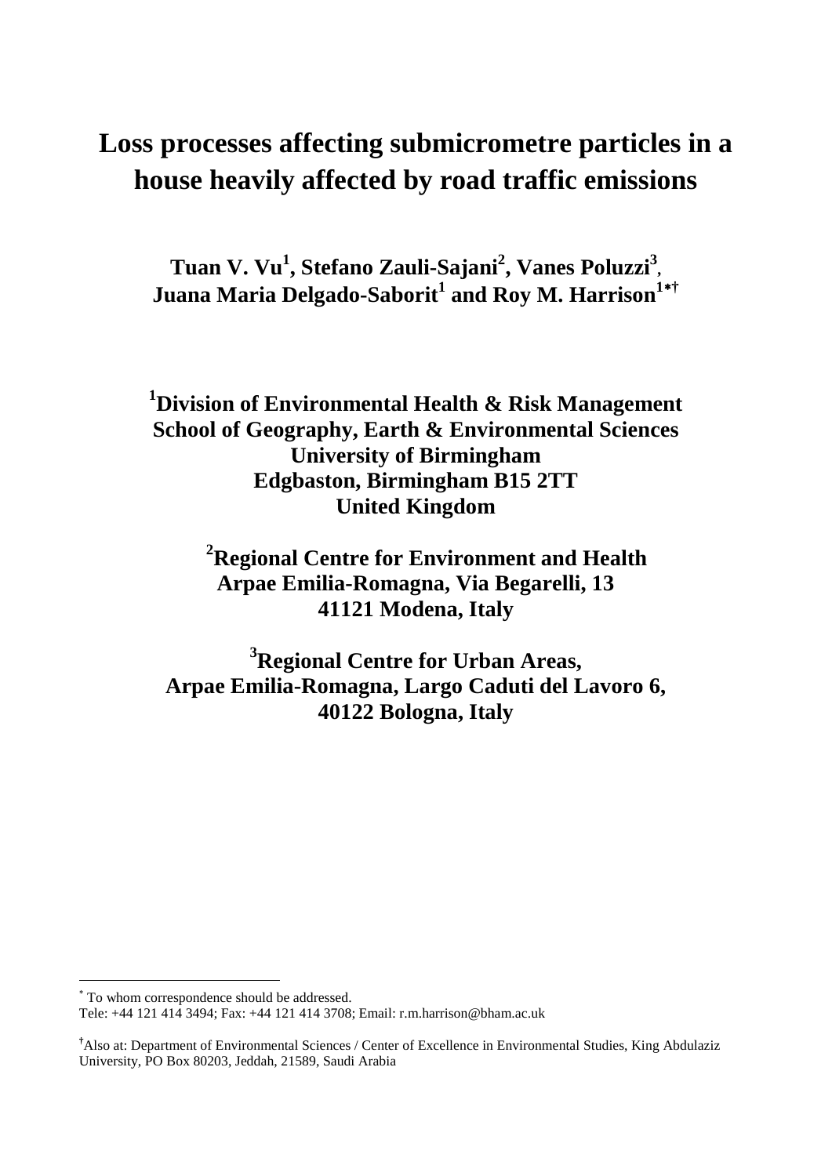# **Loss processes affecting submicrometre particles in a house heavily affected by road traffic emissions**

**Tuan V. Vu<sup>1</sup> , Stefano Zauli-Sajani<sup>2</sup> , Vanes Poluzzi3 , Juana Maria Delgado-Saborit<sup>1</sup> and Roy M. Harrison<sup>1\*†</sup>** 

### **1 Division of Environmental Health & Risk Management School of Geography, Earth & Environmental Sciences University of Birmingham Edgbaston, Birmingham B15 2TT United Kingdom**

 **2 Regional Centre for Environment and Health Arpae Emilia-Romagna, Via Begarelli, 13 41121 Modena, Italy**

**3 Regional Centre for Urban Areas, Arpae Emilia-Romagna, Largo Caduti del Lavoro 6, 40122 Bologna, Italy**

 $\overline{a}$ 

<span id="page-1-0"></span><sup>∗</sup> To whom correspondence should be addressed.

Tele: +44 121 414 3494; Fax: +44 121 414 3708; Email: r.m.harrison@bham.ac.uk

**<sup>†</sup>** Also at: Department of Environmental Sciences / Center of Excellence in Environmental Studies, King Abdulaziz University, PO Box 80203, Jeddah, 21589, Saudi Arabia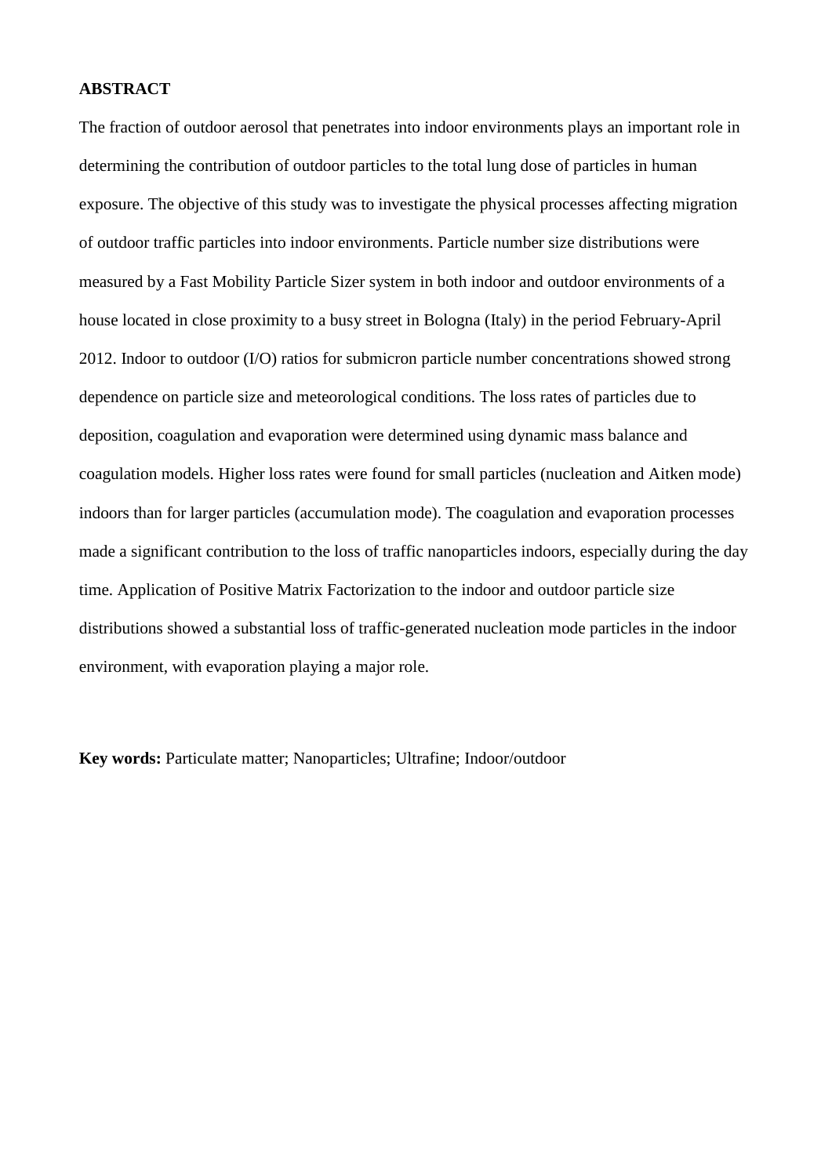#### **ABSTRACT**

The fraction of outdoor aerosol that penetrates into indoor environments plays an important role in determining the contribution of outdoor particles to the total lung dose of particles in human exposure. The objective of this study was to investigate the physical processes affecting migration of outdoor traffic particles into indoor environments. Particle number size distributions were measured by a Fast Mobility Particle Sizer system in both indoor and outdoor environments of a house located in close proximity to a busy street in Bologna (Italy) in the period February-April 2012. Indoor to outdoor (I/O) ratios for submicron particle number concentrations showed strong dependence on particle size and meteorological conditions. The loss rates of particles due to deposition, coagulation and evaporation were determined using dynamic mass balance and coagulation models. Higher loss rates were found for small particles (nucleation and Aitken mode) indoors than for larger particles (accumulation mode). The coagulation and evaporation processes made a significant contribution to the loss of traffic nanoparticles indoors, especially during the day time. Application of Positive Matrix Factorization to the indoor and outdoor particle size distributions showed a substantial loss of traffic-generated nucleation mode particles in the indoor environment, with evaporation playing a major role.

**Key words:** Particulate matter; Nanoparticles; Ultrafine; Indoor/outdoor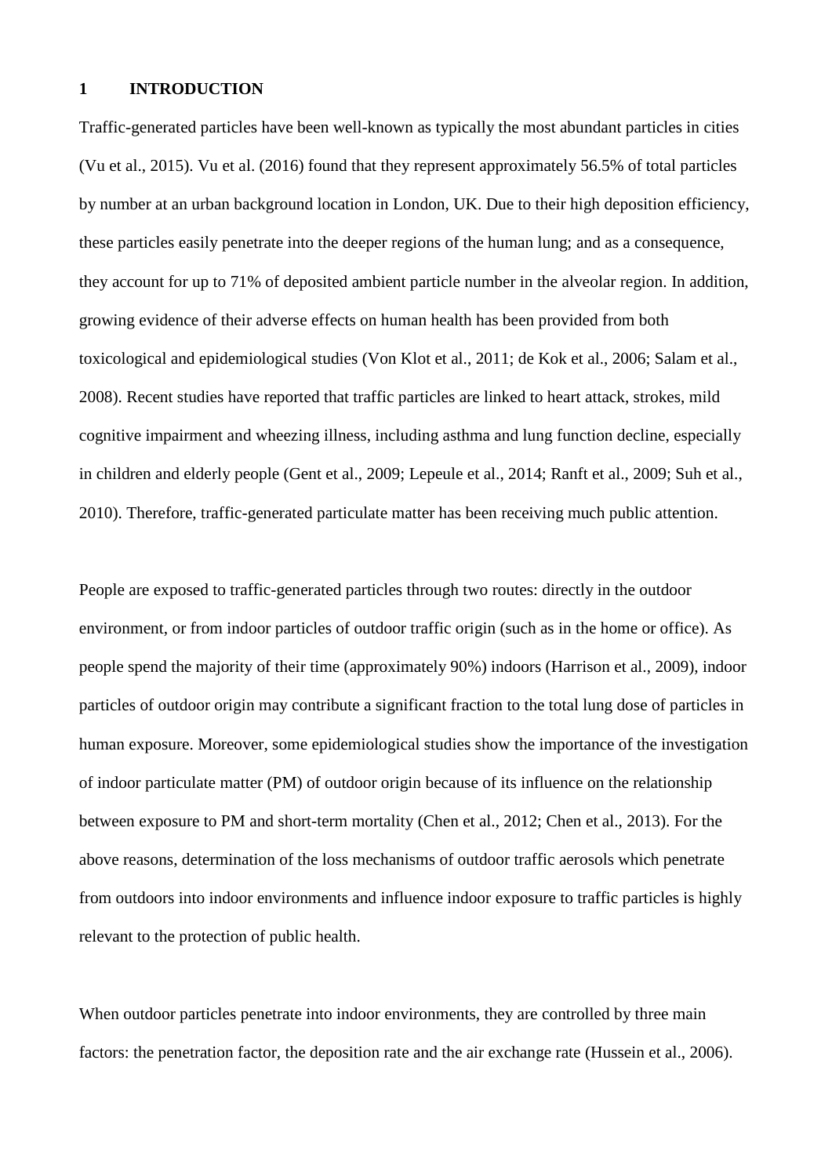#### **1 INTRODUCTION**

Traffic-generated particles have been well-known as typically the most abundant particles in cities (Vu et al., 2015). Vu et al. (2016) found that they represent approximately 56.5% of total particles by number at an urban background location in London, UK. Due to their high deposition efficiency, these particles easily penetrate into the deeper regions of the human lung; and as a consequence, they account for up to 71% of deposited ambient particle number in the alveolar region. In addition, growing evidence of their adverse effects on human health has been provided from both toxicological and epidemiological studies (Von Klot et al., 2011; de Kok et al., 2006; Salam et al., 2008). Recent studies have reported that traffic particles are linked to heart attack, strokes, mild cognitive impairment and wheezing illness, including asthma and lung function decline, especially in children and elderly people (Gent et al., 2009; Lepeule et al., 2014; Ranft et al., 2009; Suh et al., 2010). Therefore, traffic-generated particulate matter has been receiving much public attention.

People are exposed to traffic-generated particles through two routes: directly in the outdoor environment, or from indoor particles of outdoor traffic origin (such as in the home or office). As people spend the majority of their time (approximately 90%) indoors (Harrison et al., 2009), indoor particles of outdoor origin may contribute a significant fraction to the total lung dose of particles in human exposure. Moreover, some epidemiological studies show the importance of the investigation of indoor particulate matter (PM) of outdoor origin because of its influence on the relationship between exposure to PM and short-term mortality (Chen et al., 2012; Chen et al., 2013). For the above reasons, determination of the loss mechanisms of outdoor traffic aerosols which penetrate from outdoors into indoor environments and influence indoor exposure to traffic particles is highly relevant to the protection of public health.

When outdoor particles penetrate into indoor environments, they are controlled by three main factors: the penetration factor, the deposition rate and the air exchange rate (Hussein et al., 2006).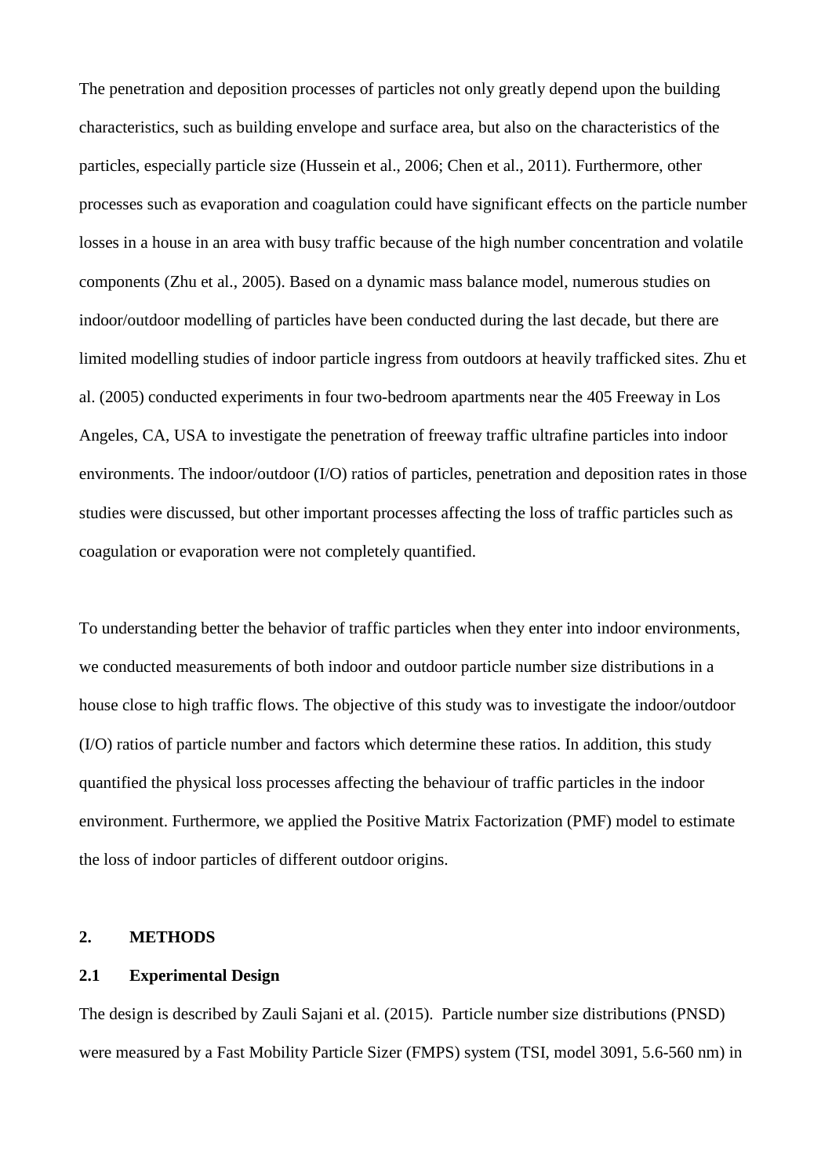The penetration and deposition processes of particles not only greatly depend upon the building characteristics, such as building envelope and surface area, but also on the characteristics of the particles, especially particle size (Hussein et al., 2006; Chen et al., 2011). Furthermore, other processes such as evaporation and coagulation could have significant effects on the particle number losses in a house in an area with busy traffic because of the high number concentration and volatile components (Zhu et al., 2005). Based on a dynamic mass balance model, numerous studies on indoor/outdoor modelling of particles have been conducted during the last decade, but there are limited modelling studies of indoor particle ingress from outdoors at heavily trafficked sites. Zhu et al. (2005) conducted experiments in four two-bedroom apartments near the 405 Freeway in Los Angeles, CA, USA to investigate the penetration of freeway traffic ultrafine particles into indoor environments. The indoor/outdoor (I/O) ratios of particles, penetration and deposition rates in those studies were discussed, but other important processes affecting the loss of traffic particles such as coagulation or evaporation were not completely quantified.

To understanding better the behavior of traffic particles when they enter into indoor environments, we conducted measurements of both indoor and outdoor particle number size distributions in a house close to high traffic flows. The objective of this study was to investigate the indoor/outdoor (I/O) ratios of particle number and factors which determine these ratios. In addition, this study quantified the physical loss processes affecting the behaviour of traffic particles in the indoor environment. Furthermore, we applied the Positive Matrix Factorization (PMF) model to estimate the loss of indoor particles of different outdoor origins.

#### **2. METHODS**

#### **2.1 Experimental Design**

The design is described by Zauli Sajani et al. (2015). Particle number size distributions (PNSD) were measured by a Fast Mobility Particle Sizer (FMPS) system (TSI, model 3091, 5.6-560 nm) in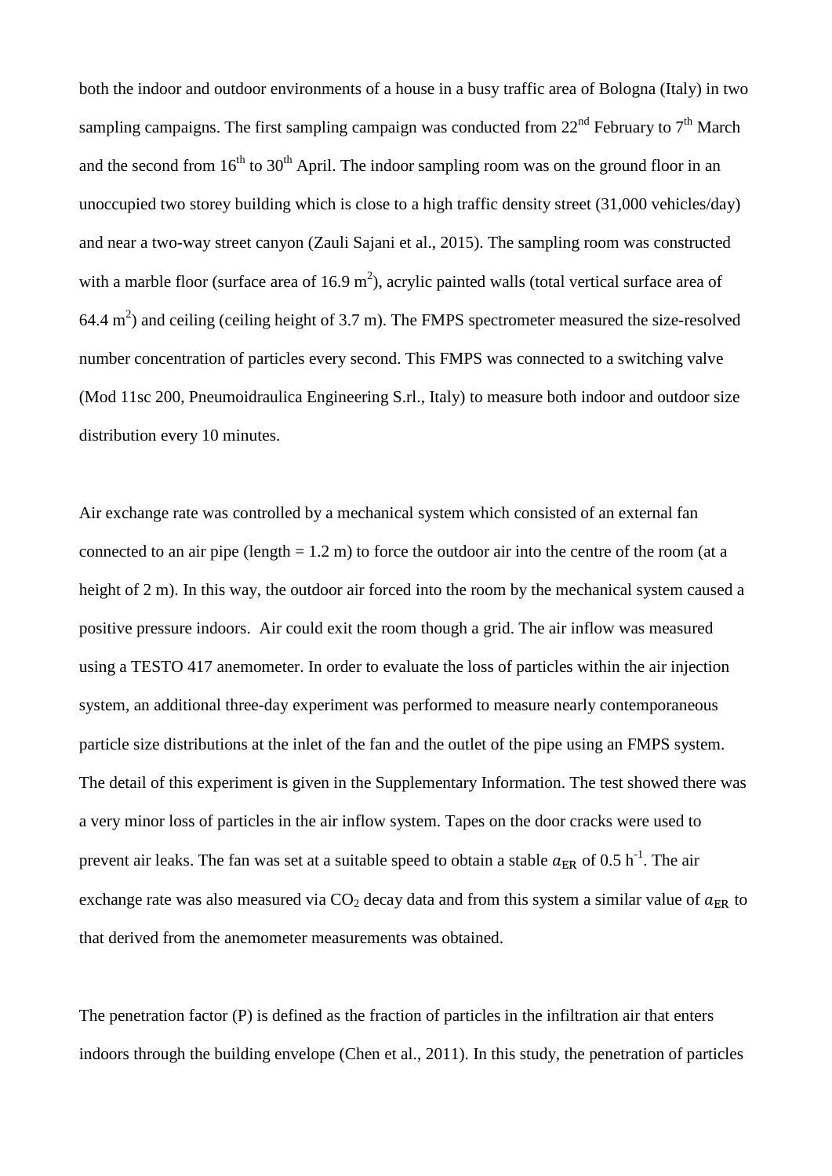both the indoor and outdoor environments of a house in a busy traffic area of Bologna (Italy) in two sampling campaigns. The first sampling campaign was conducted from  $22<sup>nd</sup>$  February to  $7<sup>th</sup>$  March and the second from  $16^{th}$  to  $30^{th}$  April. The indoor sampling room was on the ground floor in an unoccupied two storey building which is close to a high traffic density street (31,000 vehicles/day) and near a two-way street canyon (Zauli Sajani et al., 2015). The sampling room was constructed with a marble floor (surface area of  $16.9 \text{ m}^2$ ), acrylic painted walls (total vertical surface area of 64.4  $m<sup>2</sup>$ ) and ceiling (ceiling height of 3.7 m). The FMPS spectrometer measured the size-resolved number concentration of particles every second. This FMPS was connected to a switching valve (Mod 11sc 200, Pneumoidraulica Engineering S.rl., Italy) to measure both indoor and outdoor size distribution every 10 minutes.

Air exchange rate was controlled by a mechanical system which consisted of an external fan connected to an air pipe (length  $= 1.2$  m) to force the outdoor air into the centre of the room (at a height of 2 m). In this way, the outdoor air forced into the room by the mechanical system caused a positive pressure indoors. Air could exit the room though a grid. The air inflow was measured using a TESTO 417 anemometer. In order to evaluate the loss of particles within the air injection system, an additional three-day experiment was performed to measure nearly contemporaneous particle size distributions at the inlet of the fan and the outlet of the pipe using an FMPS system. The detail of this experiment is given in the Supplementary Information. The test showed there was a very minor loss of particles in the air inflow system. Tapes on the door cracks were used to prevent air leaks. The fan was set at a suitable speed to obtain a stable  $a_{\text{ER}}$  of 0.5 h<sup>-1</sup>. The air exchange rate was also measured via  $CO<sub>2</sub>$  decay data and from this system a similar value of  $a<sub>FR</sub>$  to that derived from the anemometer measurements was obtained.

The penetration factor (P) is defined as the fraction of particles in the infiltration air that enters indoors through the building envelope (Chen et al., 2011). In this study, the penetration of particles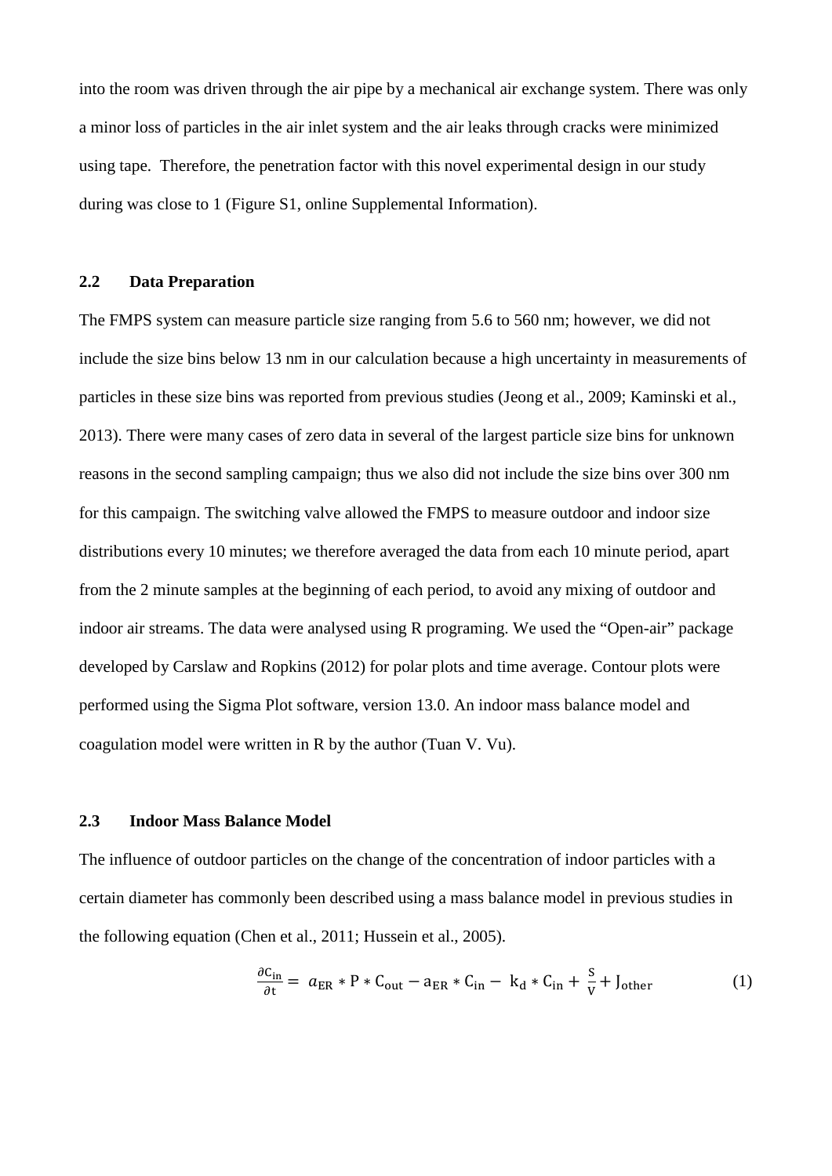into the room was driven through the air pipe by a mechanical air exchange system. There was only a minor loss of particles in the air inlet system and the air leaks through cracks were minimized using tape. Therefore, the penetration factor with this novel experimental design in our study during was close to 1 (Figure S1, online Supplemental Information).

#### **2.2 Data Preparation**

The FMPS system can measure particle size ranging from 5.6 to 560 nm; however, we did not include the size bins below 13 nm in our calculation because a high uncertainty in measurements of particles in these size bins was reported from previous studies (Jeong et al., 2009; Kaminski et al., 2013). There were many cases of zero data in several of the largest particle size bins for unknown reasons in the second sampling campaign; thus we also did not include the size bins over 300 nm for this campaign. The switching valve allowed the FMPS to measure outdoor and indoor size distributions every 10 minutes; we therefore averaged the data from each 10 minute period, apart from the 2 minute samples at the beginning of each period, to avoid any mixing of outdoor and indoor air streams. The data were analysed using R programing. We used the "Open-air" package developed by Carslaw and Ropkins (2012) for polar plots and time average. Contour plots were performed using the Sigma Plot software, version 13.0. An indoor mass balance model and coagulation model were written in R by the author (Tuan V. Vu).

#### **2.3 Indoor Mass Balance Model**

The influence of outdoor particles on the change of the concentration of indoor particles with a certain diameter has commonly been described using a mass balance model in previous studies in the following equation (Chen et al., 2011; Hussein et al., 2005).

$$
\frac{\partial C_{\text{in}}}{\partial t} = a_{\text{ER}} * P * C_{\text{out}} - a_{\text{ER}} * C_{\text{in}} - k_d * C_{\text{in}} + \frac{S}{V} + J_{\text{other}} \tag{1}
$$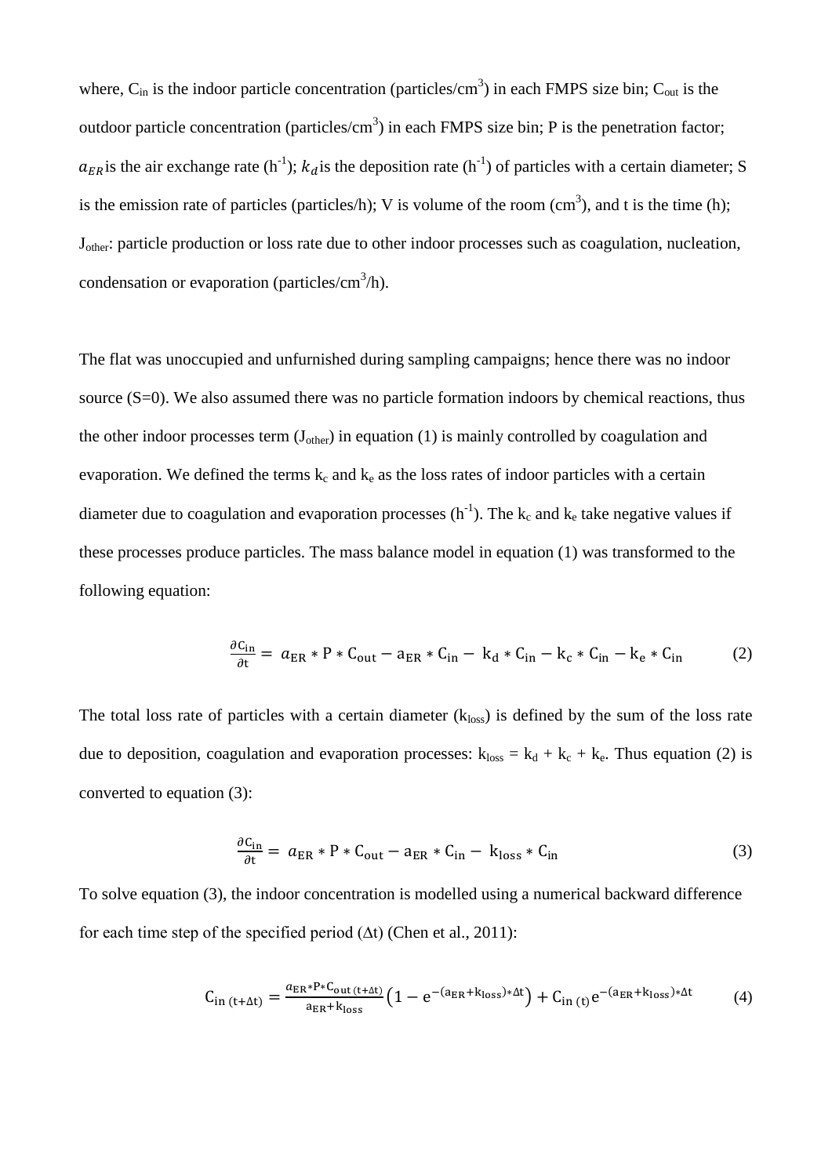where,  $C_{in}$  is the indoor particle concentration (particles/cm<sup>3</sup>) in each FMPS size bin;  $C_{out}$  is the outdoor particle concentration (particles/cm<sup>3</sup>) in each FMPS size bin; P is the penetration factor;  $a_{ER}$  is the air exchange rate (h<sup>-1</sup>);  $k_d$  is the deposition rate (h<sup>-1</sup>) of particles with a certain diameter; S is the emission rate of particles (particles/h); V is volume of the room  $(cm^3)$ , and t is the time (h); Jother: particle production or loss rate due to other indoor processes such as coagulation, nucleation, condensation or evaporation (particles/cm<sup>3</sup>/h).

The flat was unoccupied and unfurnished during sampling campaigns; hence there was no indoor source (S=0). We also assumed there was no particle formation indoors by chemical reactions, thus the other indoor processes term  $(J<sub>other</sub>)$  in equation (1) is mainly controlled by coagulation and evaporation. We defined the terms  $k_c$  and  $k_e$  as the loss rates of indoor particles with a certain diameter due to coagulation and evaporation processes  $(h^{-1})$ . The  $k_c$  and  $k_e$  take negative values if these processes produce particles. The mass balance model in equation (1) was transformed to the following equation:

$$
\frac{\partial C_{\text{in}}}{\partial t} = a_{\text{ER}} * P * C_{\text{out}} - a_{\text{ER}} * C_{\text{in}} - k_d * C_{\text{in}} - k_c * C_{\text{in}} - k_e * C_{\text{in}} \tag{2}
$$

The total loss rate of particles with a certain diameter  $(k_{loss})$  is defined by the sum of the loss rate due to deposition, coagulation and evaporation processes:  $k_{loss} = k_d + k_c + k_e$ . Thus equation (2) is converted to equation (3):

$$
\frac{\partial C_{\text{in}}}{\partial t} = a_{\text{ER}} * P * C_{\text{out}} - a_{\text{ER}} * C_{\text{in}} - k_{\text{loss}} * C_{\text{in}}
$$
(3)

To solve equation (3), the indoor concentration is modelled using a numerical backward difference for each time step of the specified period  $(\Delta t)$  (Chen et al., 2011):

$$
C_{in (t+\Delta t)} = \frac{a_{ER} * P * C_{out (t+\Delta t)}}{a_{ER} + k_{loss}} \left(1 - e^{-(a_{ER} + k_{loss}) * \Delta t}\right) + C_{in (t)} e^{-(a_{ER} + k_{loss}) * \Delta t}
$$
(4)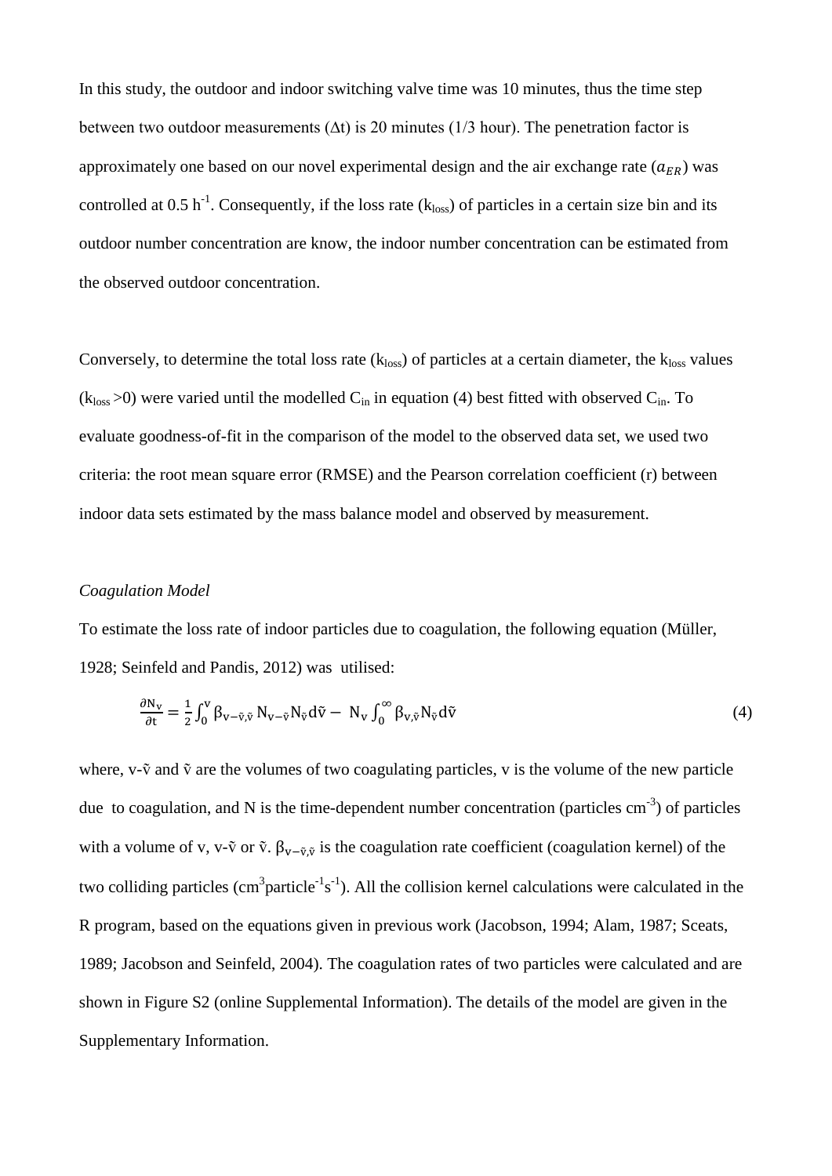In this study, the outdoor and indoor switching valve time was 10 minutes, thus the time step between two outdoor measurements ( $\Delta t$ ) is 20 minutes (1/3 hour). The penetration factor is approximately one based on our novel experimental design and the air exchange rate  $(a_{ER})$  was controlled at 0.5 h<sup>-1</sup>. Consequently, if the loss rate ( $k_{loss}$ ) of particles in a certain size bin and its outdoor number concentration are know, the indoor number concentration can be estimated from the observed outdoor concentration.

Conversely, to determine the total loss rate  $(k_{loss})$  of particles at a certain diameter, the  $k_{loss}$  values  $(k_{loss} > 0)$  were varied until the modelled  $C_{in}$  in equation (4) best fitted with observed  $C_{in}$ . To evaluate goodness-of-fit in the comparison of the model to the observed data set, we used two criteria: the root mean square error (RMSE) and the Pearson correlation coefficient (r) between indoor data sets estimated by the mass balance model and observed by measurement.

#### *Coagulation Model*

To estimate the loss rate of indoor particles due to coagulation, the following equation (Müller, 1928; Seinfeld and Pandis, 2012) was utilised:

$$
\frac{\partial N_V}{\partial t} = \frac{1}{2} \int_0^V \beta_{V - \tilde{V}, \tilde{V}} N_{V - \tilde{V}} N_{\tilde{V}} d\tilde{V} - N_V \int_0^\infty \beta_{V, \tilde{V}} N_{\tilde{V}} d\tilde{V}
$$
\n(4)

where,  $v-\tilde{v}$  and  $\tilde{v}$  are the volumes of two coagulating particles, v is the volume of the new particle due to coagulation, and N is the time-dependent number concentration (particles  $cm^{-3}$ ) of particles with a volume of v, v- $\tilde{v}$  or  $\tilde{v}$ .  $\beta_{v-\tilde{v},\tilde{v}}$  is the coagulation rate coefficient (coagulation kernel) of the two colliding particles  $(cm^3$ particle<sup>-1</sup>s<sup>-1</sup>). All the collision kernel calculations were calculated in the R program, based on the equations given in previous work (Jacobson, 1994; Alam, 1987; Sceats, 1989; Jacobson and Seinfeld, 2004). The coagulation rates of two particles were calculated and are shown in Figure S2 (online Supplemental Information). The details of the model are given in the Supplementary Information.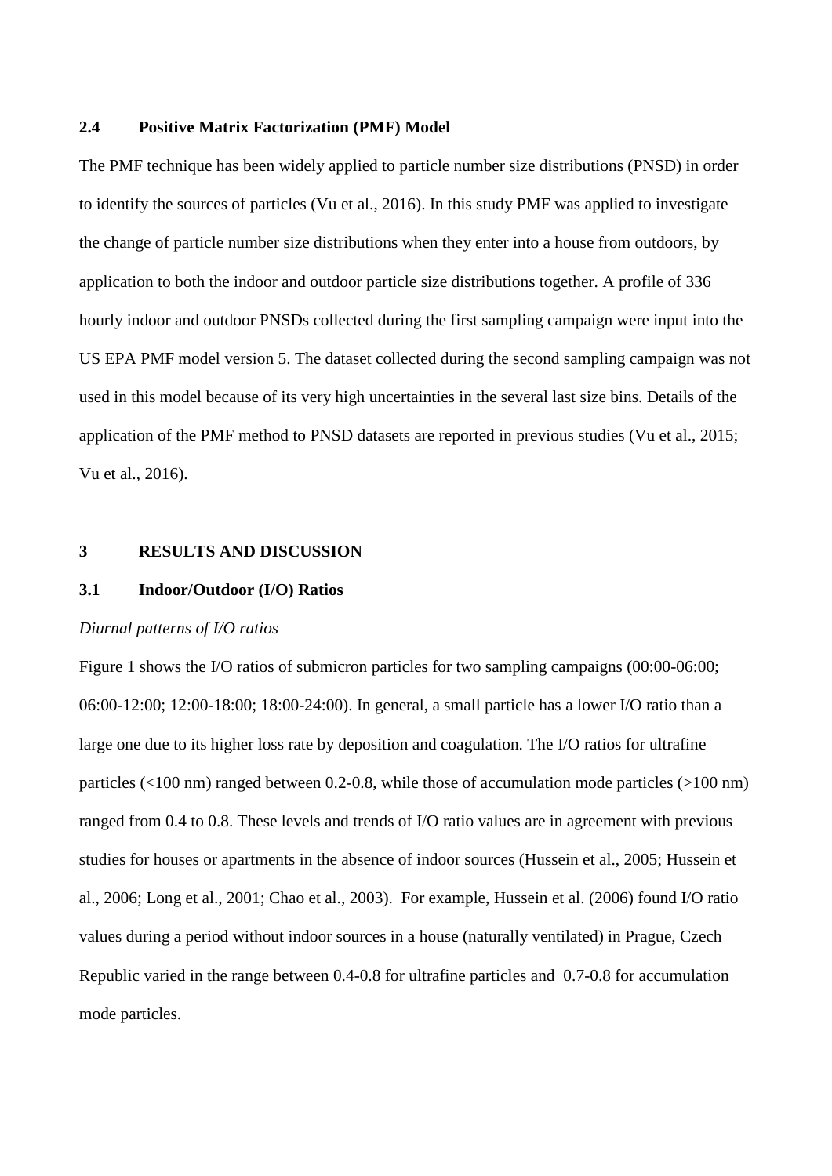#### **2.4 Positive Matrix Factorization (PMF) Model**

The PMF technique has been widely applied to particle number size distributions (PNSD) in order to identify the sources of particles (Vu et al., 2016). In this study PMF was applied to investigate the change of particle number size distributions when they enter into a house from outdoors, by application to both the indoor and outdoor particle size distributions together. A profile of 336 hourly indoor and outdoor PNSDs collected during the first sampling campaign were input into the US EPA PMF model version 5. The dataset collected during the second sampling campaign was not used in this model because of its very high uncertainties in the several last size bins. Details of the application of the PMF method to PNSD datasets are reported in previous studies (Vu et al., 2015; Vu et al., 2016).

#### **3 RESULTS AND DISCUSSION**

#### **3.1 Indoor/Outdoor (I/O) Ratios**

#### *Diurnal patterns of I/O ratios*

Figure 1 shows the I/O ratios of submicron particles for two sampling campaigns (00:00-06:00; 06:00-12:00; 12:00-18:00; 18:00-24:00). In general, a small particle has a lower I/O ratio than a large one due to its higher loss rate by deposition and coagulation. The I/O ratios for ultrafine particles (<100 nm) ranged between 0.2-0.8, while those of accumulation mode particles (>100 nm) ranged from 0.4 to 0.8. These levels and trends of I/O ratio values are in agreement with previous studies for houses or apartments in the absence of indoor sources (Hussein et al., 2005; Hussein et al., 2006; Long et al., 2001; Chao et al., 2003). For example, Hussein et al. (2006) found I/O ratio values during a period without indoor sources in a house (naturally ventilated) in Prague, Czech Republic varied in the range between 0.4-0.8 for ultrafine particles and 0.7-0.8 for accumulation mode particles.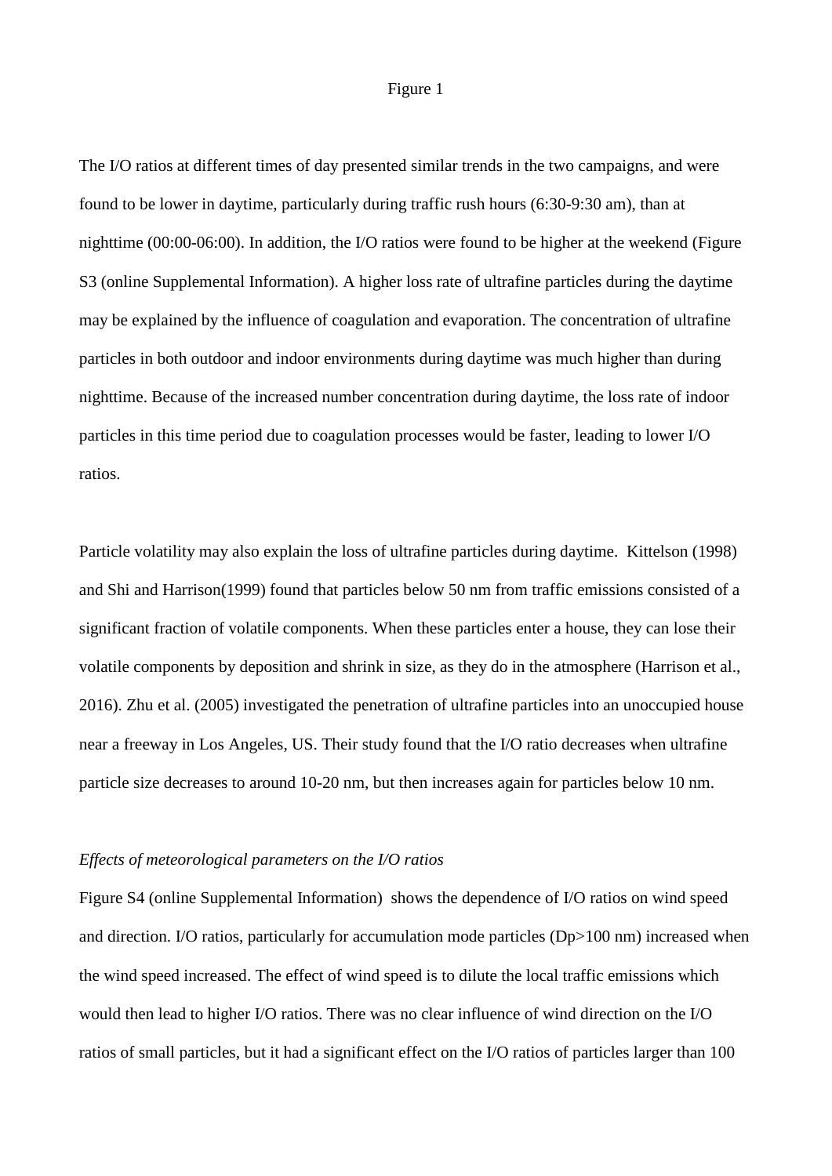#### Figure 1

The I/O ratios at different times of day presented similar trends in the two campaigns, and were found to be lower in daytime, particularly during traffic rush hours (6:30-9:30 am), than at nighttime (00:00-06:00). In addition, the I/O ratios were found to be higher at the weekend (Figure S3 (online Supplemental Information). A higher loss rate of ultrafine particles during the daytime may be explained by the influence of coagulation and evaporation. The concentration of ultrafine particles in both outdoor and indoor environments during daytime was much higher than during nighttime. Because of the increased number concentration during daytime, the loss rate of indoor particles in this time period due to coagulation processes would be faster, leading to lower I/O ratios.

Particle volatility may also explain the loss of ultrafine particles during daytime. Kittelson (1998) and Shi and Harrison(1999) found that particles below 50 nm from traffic emissions consisted of a significant fraction of volatile components. When these particles enter a house, they can lose their volatile components by deposition and shrink in size, as they do in the atmosphere (Harrison et al., 2016). Zhu et al. (2005) investigated the penetration of ultrafine particles into an unoccupied house near a freeway in Los Angeles, US. Their study found that the I/O ratio decreases when ultrafine particle size decreases to around 10-20 nm, but then increases again for particles below 10 nm.

#### *Effects of meteorological parameters on the I/O ratios*

Figure S4 (online Supplemental Information) shows the dependence of I/O ratios on wind speed and direction. I/O ratios, particularly for accumulation mode particles (Dp>100 nm) increased when the wind speed increased. The effect of wind speed is to dilute the local traffic emissions which would then lead to higher I/O ratios. There was no clear influence of wind direction on the I/O ratios of small particles, but it had a significant effect on the I/O ratios of particles larger than 100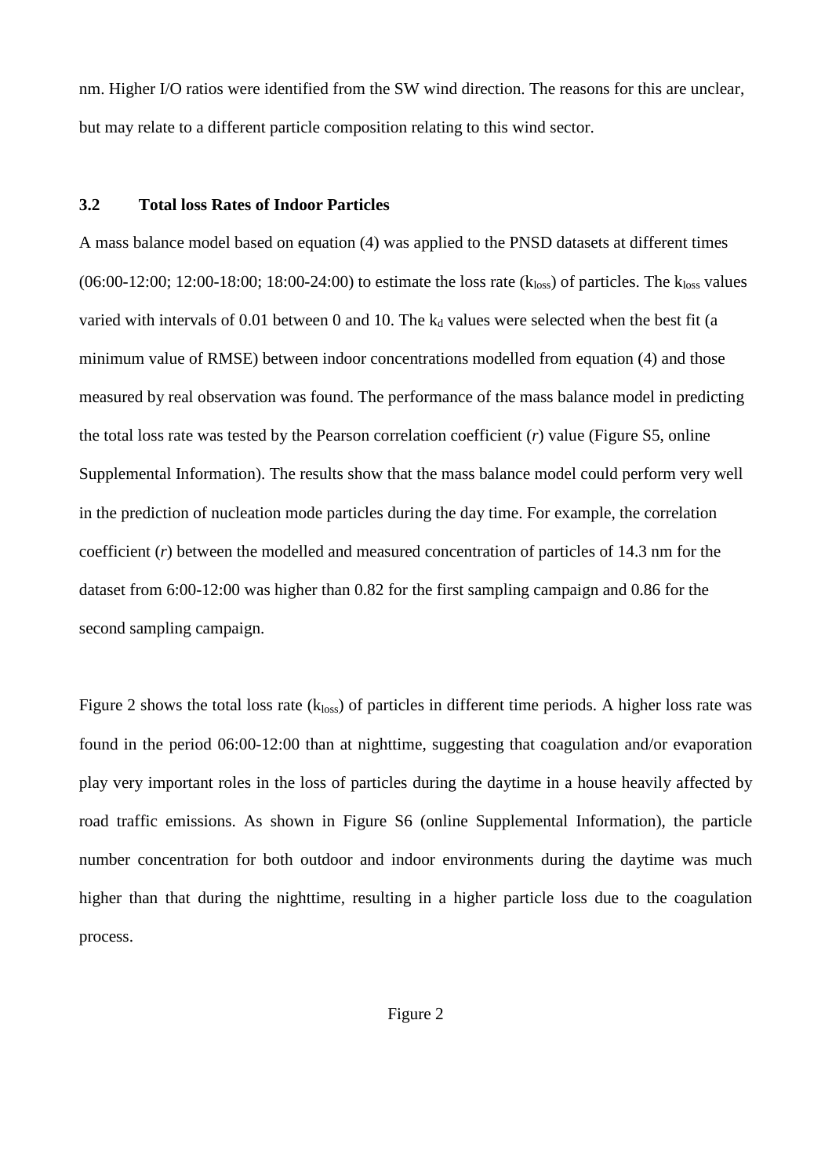nm. Higher I/O ratios were identified from the SW wind direction. The reasons for this are unclear, but may relate to a different particle composition relating to this wind sector.

#### **3.2 Total loss Rates of Indoor Particles**

A mass balance model based on equation (4) was applied to the PNSD datasets at different times  $(06:00-12:00; 12:00-18:00; 18:00-24:00)$  to estimate the loss rate  $(k_{loss})$  of particles. The  $k_{loss}$  values varied with intervals of 0.01 between 0 and 10. The  $k_d$  values were selected when the best fit (a minimum value of RMSE) between indoor concentrations modelled from equation (4) and those measured by real observation was found. The performance of the mass balance model in predicting the total loss rate was tested by the Pearson correlation coefficient (*r*) value (Figure S5, online Supplemental Information). The results show that the mass balance model could perform very well in the prediction of nucleation mode particles during the day time. For example, the correlation coefficient (*r*) between the modelled and measured concentration of particles of 14.3 nm for the dataset from 6:00-12:00 was higher than 0.82 for the first sampling campaign and 0.86 for the second sampling campaign.

Figure 2 shows the total loss rate  $(k_{loss})$  of particles in different time periods. A higher loss rate was found in the period 06:00-12:00 than at nighttime, suggesting that coagulation and/or evaporation play very important roles in the loss of particles during the daytime in a house heavily affected by road traffic emissions. As shown in Figure S6 (online Supplemental Information), the particle number concentration for both outdoor and indoor environments during the daytime was much higher than that during the nighttime, resulting in a higher particle loss due to the coagulation process.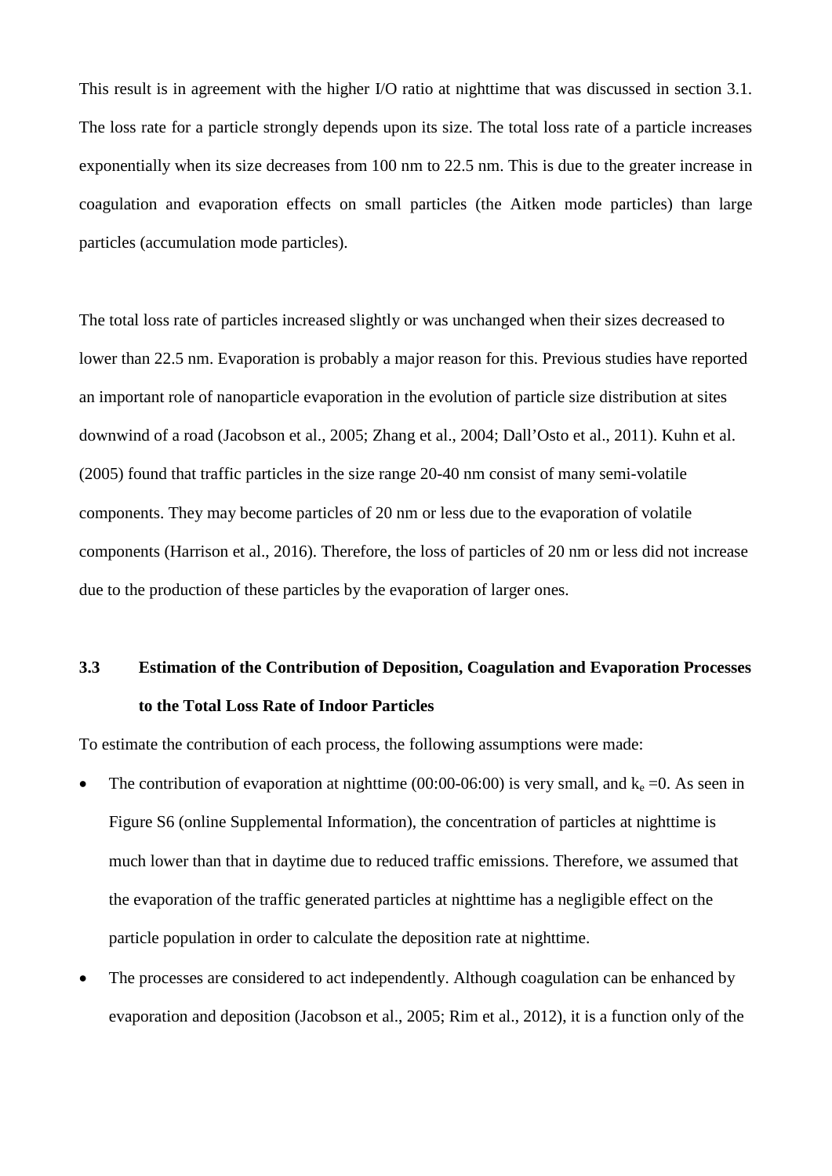This result is in agreement with the higher I/O ratio at nighttime that was discussed in section 3.1. The loss rate for a particle strongly depends upon its size. The total loss rate of a particle increases exponentially when its size decreases from 100 nm to 22.5 nm. This is due to the greater increase in coagulation and evaporation effects on small particles (the Aitken mode particles) than large particles (accumulation mode particles).

The total loss rate of particles increased slightly or was unchanged when their sizes decreased to lower than 22.5 nm. Evaporation is probably a major reason for this. Previous studies have reported an important role of nanoparticle evaporation in the evolution of particle size distribution at sites downwind of a road (Jacobson et al., 2005; Zhang et al., 2004; Dall'Osto et al., 2011). Kuhn et al. (2005) found that traffic particles in the size range 20-40 nm consist of many semi-volatile components. They may become particles of 20 nm or less due to the evaporation of volatile components (Harrison et al., 2016). Therefore, the loss of particles of 20 nm or less did not increase due to the production of these particles by the evaporation of larger ones.

### **3.3 Estimation of the Contribution of Deposition, Coagulation and Evaporation Processes to the Total Loss Rate of Indoor Particles**

To estimate the contribution of each process, the following assumptions were made:

- The contribution of evaporation at nighttime (00:00-06:00) is very small, and  $k_e = 0$ . As seen in Figure S6 (online Supplemental Information), the concentration of particles at nighttime is much lower than that in daytime due to reduced traffic emissions. Therefore, we assumed that the evaporation of the traffic generated particles at nighttime has a negligible effect on the particle population in order to calculate the deposition rate at nighttime.
- The processes are considered to act independently. Although coagulation can be enhanced by evaporation and deposition (Jacobson et al., 2005; Rim et al., 2012), it is a function only of the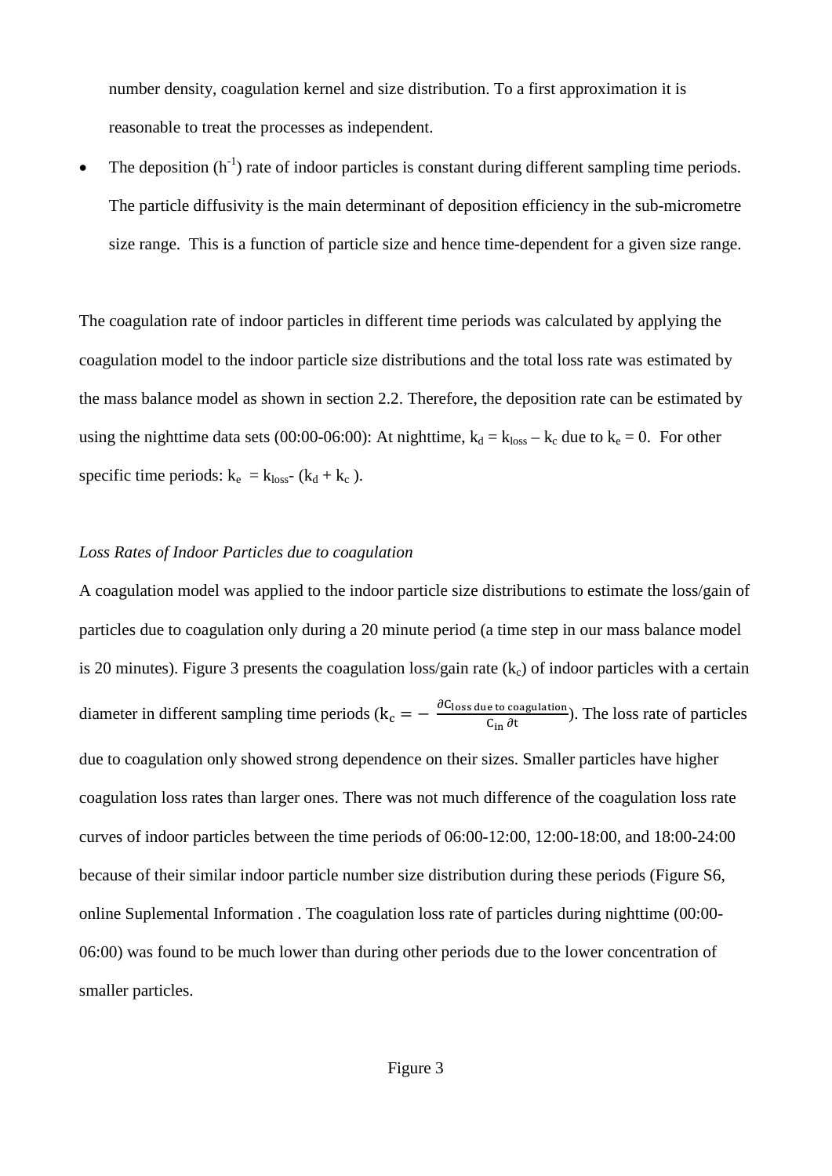number density, coagulation kernel and size distribution. To a first approximation it is reasonable to treat the processes as independent.

• The deposition  $(h^{-1})$  rate of indoor particles is constant during different sampling time periods. The particle diffusivity is the main determinant of deposition efficiency in the sub-micrometre size range. This is a function of particle size and hence time-dependent for a given size range.

The coagulation rate of indoor particles in different time periods was calculated by applying the coagulation model to the indoor particle size distributions and the total loss rate was estimated by the mass balance model as shown in section 2.2. Therefore, the deposition rate can be estimated by using the nighttime data sets (00:00-06:00): At nighttime,  $k_d = k_{loss} - k_c$  due to  $k_e = 0$ . For other specific time periods:  $k_e = k_{loss}$  ( $k_d + k_c$ ).

#### *Loss Rates of Indoor Particles due to coagulation*

A coagulation model was applied to the indoor particle size distributions to estimate the loss/gain of particles due to coagulation only during a 20 minute period (a time step in our mass balance model is 20 minutes). Figure 3 presents the coagulation loss/gain rate  $(k_c)$  of indoor particles with a certain diameter in different sampling time periods ( $k_c = -\frac{\partial C_{\text{loss due to coagulation}}}{C_{\text{in}} \partial t}$ ). The loss rate of particles due to coagulation only showed strong dependence on their sizes. Smaller particles have higher coagulation loss rates than larger ones. There was not much difference of the coagulation loss rate curves of indoor particles between the time periods of 06:00-12:00, 12:00-18:00, and 18:00-24:00 because of their similar indoor particle number size distribution during these periods (Figure S6, online Suplemental Information . The coagulation loss rate of particles during nighttime (00:00- 06:00) was found to be much lower than during other periods due to the lower concentration of smaller particles.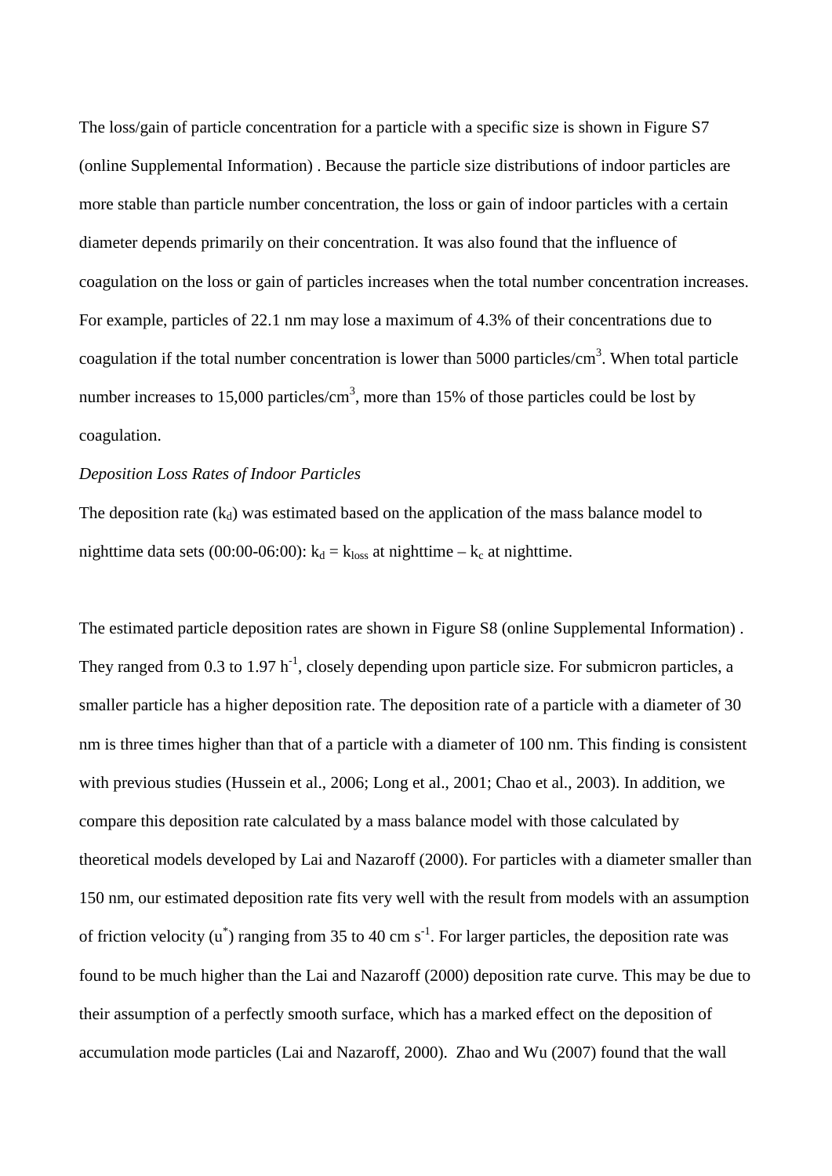The loss/gain of particle concentration for a particle with a specific size is shown in Figure S7 (online Supplemental Information) . Because the particle size distributions of indoor particles are more stable than particle number concentration, the loss or gain of indoor particles with a certain diameter depends primarily on their concentration. It was also found that the influence of coagulation on the loss or gain of particles increases when the total number concentration increases. For example, particles of 22.1 nm may lose a maximum of 4.3% of their concentrations due to coagulation if the total number concentration is lower than  $5000$  particles/cm<sup>3</sup>. When total particle number increases to 15,000 particles/cm<sup>3</sup>, more than 15% of those particles could be lost by coagulation.

#### *Deposition Loss Rates of Indoor Particles*

The deposition rate  $(k_d)$  was estimated based on the application of the mass balance model to nighttime data sets (00:00-06:00):  $k_d = k_{loss}$  at nighttime –  $k_c$  at nighttime.

The estimated particle deposition rates are shown in Figure S8 (online Supplemental Information) . They ranged from 0.3 to 1.97  $h^{-1}$ , closely depending upon particle size. For submicron particles, a smaller particle has a higher deposition rate. The deposition rate of a particle with a diameter of 30 nm is three times higher than that of a particle with a diameter of 100 nm. This finding is consistent with previous studies (Hussein et al., 2006; Long et al., 2001; Chao et al., 2003). In addition, we compare this deposition rate calculated by a mass balance model with those calculated by theoretical models developed by Lai and Nazaroff (2000). For particles with a diameter smaller than 150 nm, our estimated deposition rate fits very well with the result from models with an assumption of friction velocity  $(u^*)$  ranging from 35 to 40 cm s<sup>-1</sup>. For larger particles, the deposition rate was found to be much higher than the Lai and Nazaroff (2000) deposition rate curve. This may be due to their assumption of a perfectly smooth surface, which has a marked effect on the deposition of accumulation mode particles (Lai and Nazaroff, 2000). Zhao and Wu (2007) found that the wall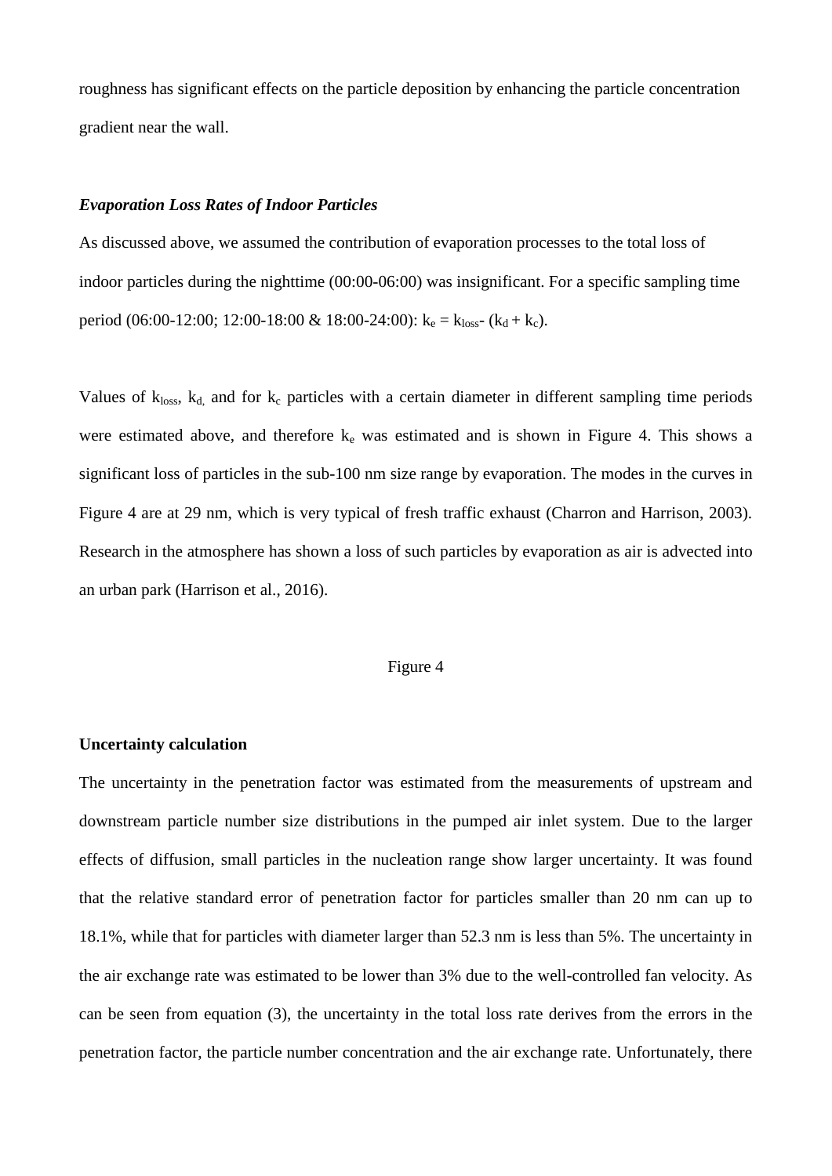roughness has significant effects on the particle deposition by enhancing the particle concentration gradient near the wall.

#### *Evaporation Loss Rates of Indoor Particles*

As discussed above, we assumed the contribution of evaporation processes to the total loss of indoor particles during the nighttime (00:00-06:00) was insignificant. For a specific sampling time period (06:00-12:00; 12:00-18:00 & 18:00-24:00):  $k_e = k_{loss}$  ( $k_d + k_c$ ).

Values of  $k_{loss}$ ,  $k_d$  and for  $k_c$  particles with a certain diameter in different sampling time periods were estimated above, and therefore  $k_e$  was estimated and is shown in Figure 4. This shows a significant loss of particles in the sub-100 nm size range by evaporation. The modes in the curves in Figure 4 are at 29 nm, which is very typical of fresh traffic exhaust (Charron and Harrison, 2003). Research in the atmosphere has shown a loss of such particles by evaporation as air is advected into an urban park (Harrison et al., 2016).

#### Figure 4

#### **Uncertainty calculation**

The uncertainty in the penetration factor was estimated from the measurements of upstream and downstream particle number size distributions in the pumped air inlet system. Due to the larger effects of diffusion, small particles in the nucleation range show larger uncertainty. It was found that the relative standard error of penetration factor for particles smaller than 20 nm can up to 18.1%, while that for particles with diameter larger than 52.3 nm is less than 5%. The uncertainty in the air exchange rate was estimated to be lower than 3% due to the well-controlled fan velocity. As can be seen from equation (3), the uncertainty in the total loss rate derives from the errors in the penetration factor, the particle number concentration and the air exchange rate. Unfortunately, there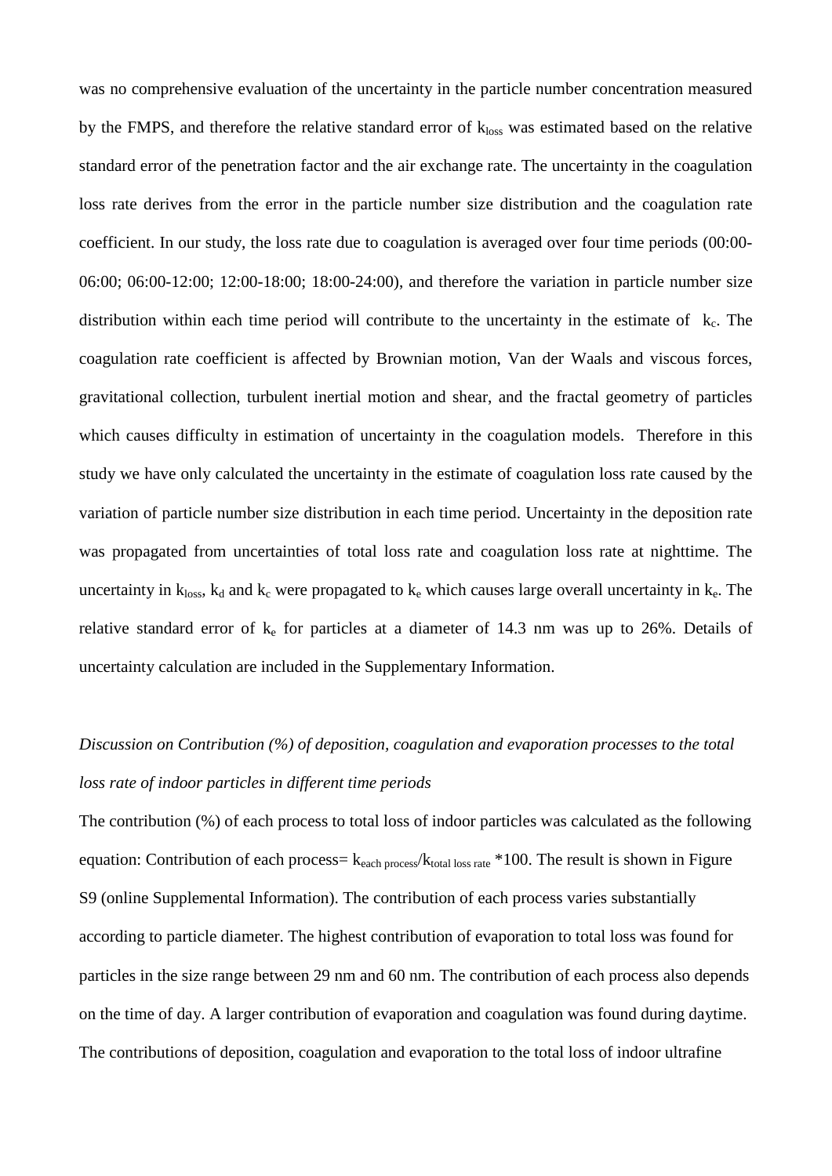was no comprehensive evaluation of the uncertainty in the particle number concentration measured by the FMPS, and therefore the relative standard error of  $k<sub>loss</sub>$  was estimated based on the relative standard error of the penetration factor and the air exchange rate. The uncertainty in the coagulation loss rate derives from the error in the particle number size distribution and the coagulation rate coefficient. In our study, the loss rate due to coagulation is averaged over four time periods (00:00- 06:00; 06:00-12:00; 12:00-18:00; 18:00-24:00), and therefore the variation in particle number size distribution within each time period will contribute to the uncertainty in the estimate of  $k_c$ . The coagulation rate coefficient is affected by Brownian motion, Van der Waals and viscous forces, gravitational collection, turbulent inertial motion and shear, and the fractal geometry of particles which causes difficulty in estimation of uncertainty in the coagulation models. Therefore in this study we have only calculated the uncertainty in the estimate of coagulation loss rate caused by the variation of particle number size distribution in each time period. Uncertainty in the deposition rate was propagated from uncertainties of total loss rate and coagulation loss rate at nighttime. The uncertainty in  $k_{loss}$ ,  $k_d$  and  $k_c$  were propagated to  $k_e$  which causes large overall uncertainty in  $k_e$ . The relative standard error of  $k_e$  for particles at a diameter of 14.3 nm was up to 26%. Details of uncertainty calculation are included in the Supplementary Information.

# *Discussion on Contribution (%) of deposition, coagulation and evaporation processes to the total loss rate of indoor particles in different time periods*

The contribution (%) of each process to total loss of indoor particles was calculated as the following equation: Contribution of each process=  $k_{each process}/k_{total loss rate} * 100$ . The result is shown in Figure S9 (online Supplemental Information). The contribution of each process varies substantially according to particle diameter. The highest contribution of evaporation to total loss was found for particles in the size range between 29 nm and 60 nm. The contribution of each process also depends on the time of day. A larger contribution of evaporation and coagulation was found during daytime. The contributions of deposition, coagulation and evaporation to the total loss of indoor ultrafine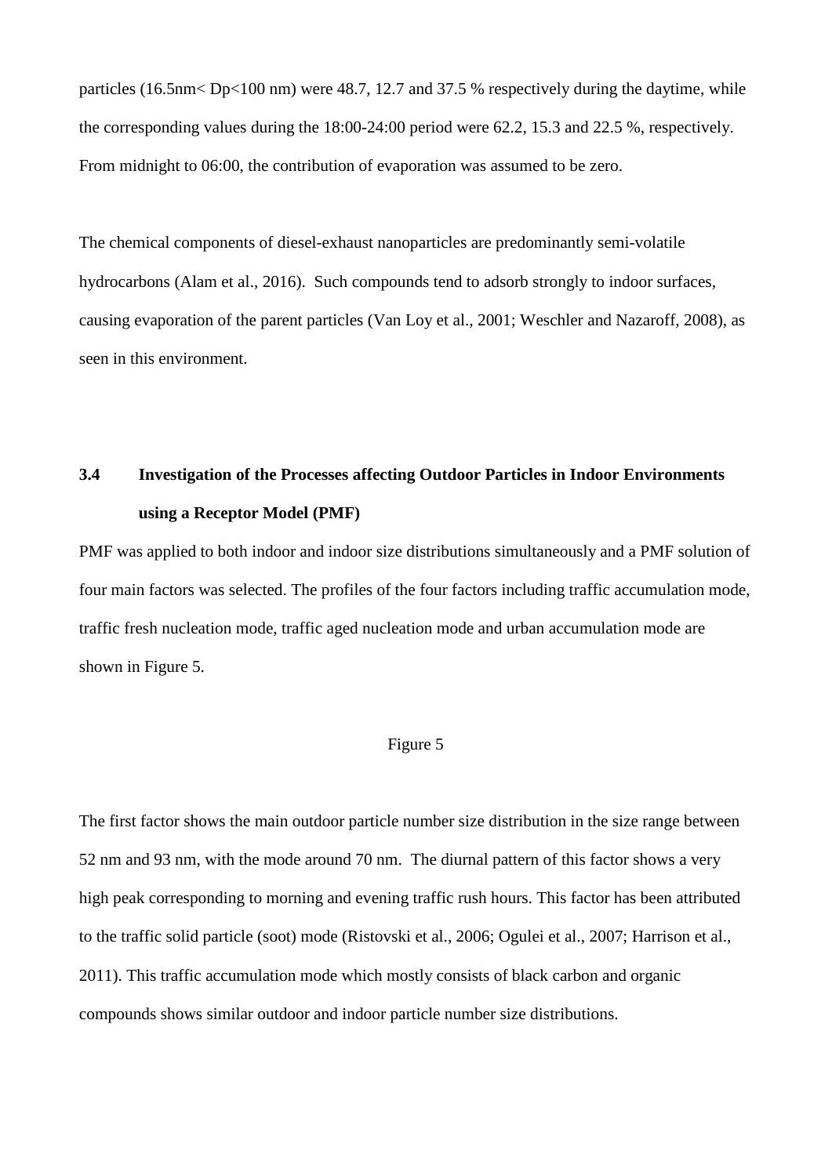particles (16.5nm< Dp<100 nm) were 48.7, 12.7 and 37.5 % respectively during the daytime, while the corresponding values during the 18:00-24:00 period were 62.2, 15.3 and 22.5 %, respectively. From midnight to 06:00, the contribution of evaporation was assumed to be zero.

The chemical components of diesel-exhaust nanoparticles are predominantly semi-volatile hydrocarbons (Alam et al., 2016). Such compounds tend to adsorb strongly to indoor surfaces, causing evaporation of the parent particles (Van Loy et al., 2001; Weschler and Nazaroff, 2008), as seen in this environment.

### **3.4 Investigation of the Processes affecting Outdoor Particles in Indoor Environments using a Receptor Model (PMF)**

PMF was applied to both indoor and indoor size distributions simultaneously and a PMF solution of four main factors was selected. The profiles of the four factors including traffic accumulation mode, traffic fresh nucleation mode, traffic aged nucleation mode and urban accumulation mode are shown in Figure 5.

#### Figure 5

The first factor shows the main outdoor particle number size distribution in the size range between 52 nm and 93 nm, with the mode around 70 nm. The diurnal pattern of this factor shows a very high peak corresponding to morning and evening traffic rush hours. This factor has been attributed to the traffic solid particle (soot) mode (Ristovski et al., 2006; Ogulei et al., 2007; Harrison et al., 2011). This traffic accumulation mode which mostly consists of black carbon and organic compounds shows similar outdoor and indoor particle number size distributions.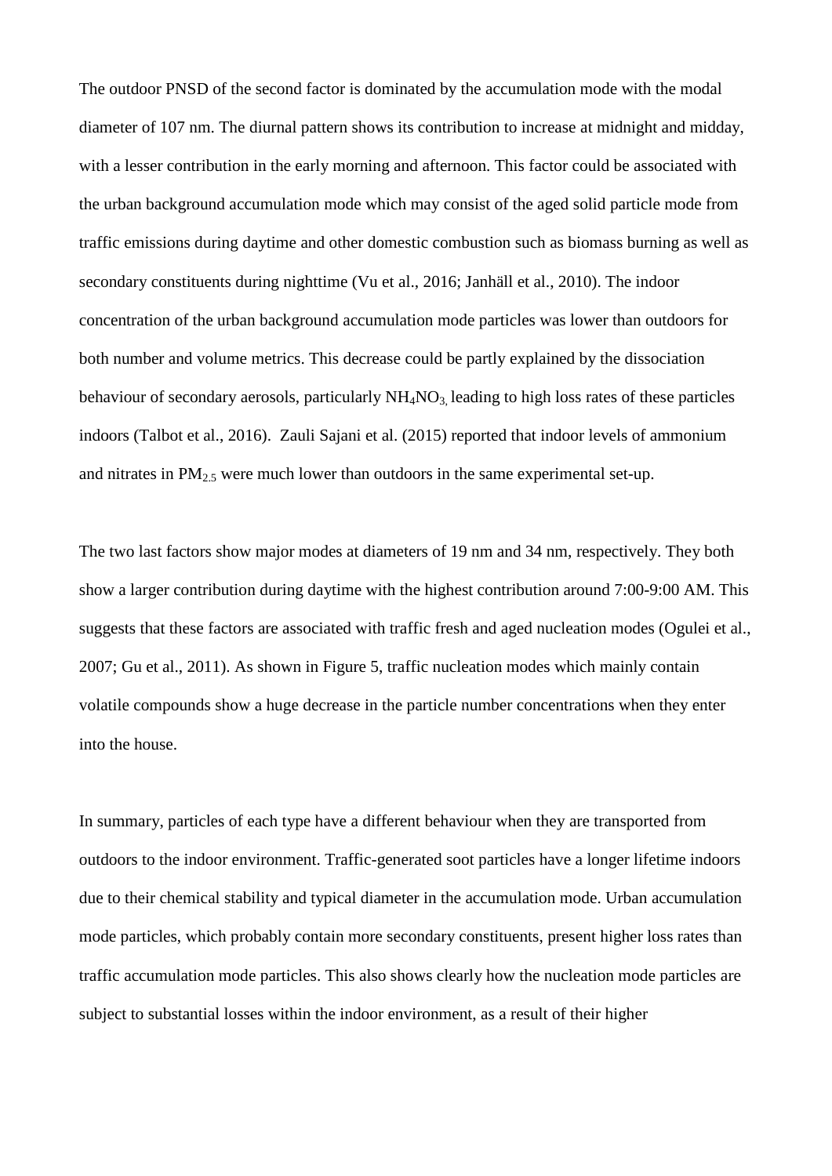The outdoor PNSD of the second factor is dominated by the accumulation mode with the modal diameter of 107 nm. The diurnal pattern shows its contribution to increase at midnight and midday, with a lesser contribution in the early morning and afternoon. This factor could be associated with the urban background accumulation mode which may consist of the aged solid particle mode from traffic emissions during daytime and other domestic combustion such as biomass burning as well as secondary constituents during nighttime (Vu et al., 2016; Janhäll et al., 2010). The indoor concentration of the urban background accumulation mode particles was lower than outdoors for both number and volume metrics. This decrease could be partly explained by the dissociation behaviour of secondary aerosols, particularly  $NH<sub>4</sub>NO<sub>3</sub>$  leading to high loss rates of these particles indoors (Talbot et al., 2016). Zauli Sajani et al. (2015) reported that indoor levels of ammonium and nitrates in  $PM<sub>2.5</sub>$  were much lower than outdoors in the same experimental set-up.

The two last factors show major modes at diameters of 19 nm and 34 nm, respectively. They both show a larger contribution during daytime with the highest contribution around 7:00-9:00 AM. This suggests that these factors are associated with traffic fresh and aged nucleation modes (Ogulei et al., 2007; Gu et al., 2011). As shown in Figure 5, traffic nucleation modes which mainly contain volatile compounds show a huge decrease in the particle number concentrations when they enter into the house.

In summary, particles of each type have a different behaviour when they are transported from outdoors to the indoor environment. Traffic-generated soot particles have a longer lifetime indoors due to their chemical stability and typical diameter in the accumulation mode. Urban accumulation mode particles, which probably contain more secondary constituents, present higher loss rates than traffic accumulation mode particles. This also shows clearly how the nucleation mode particles are subject to substantial losses within the indoor environment, as a result of their higher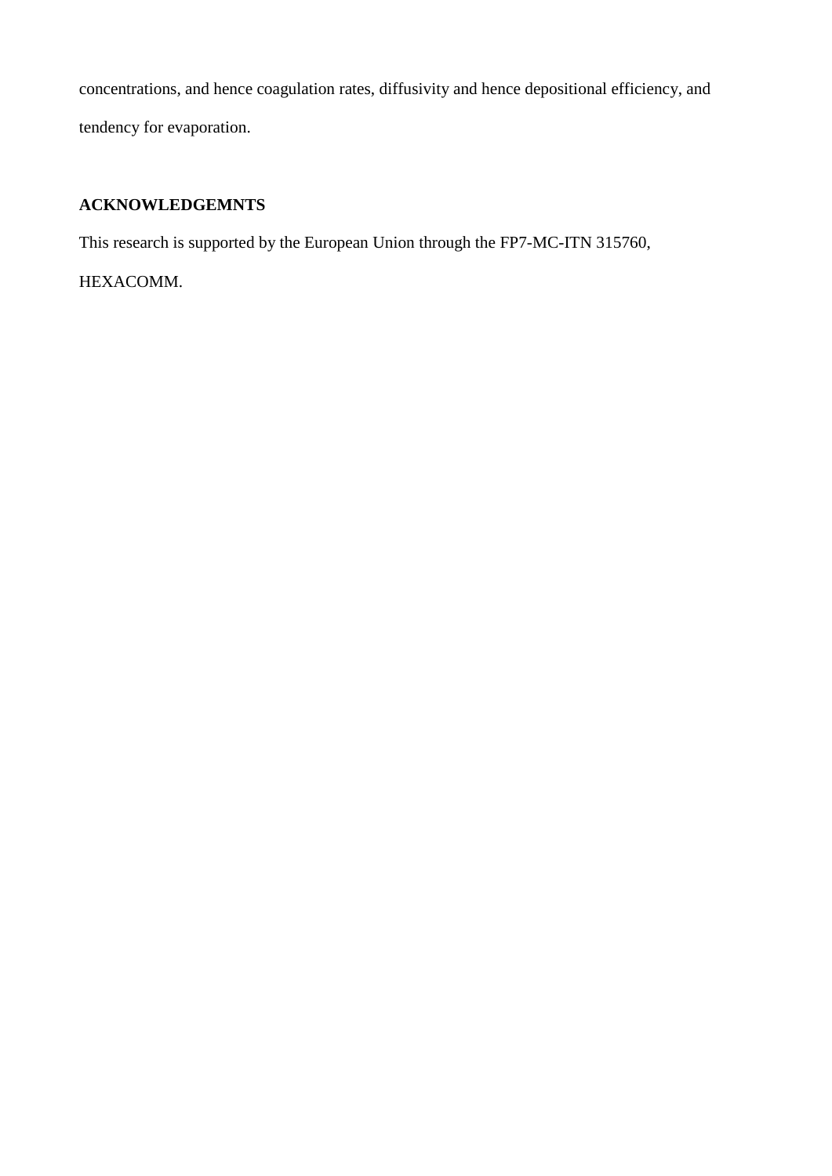concentrations, and hence coagulation rates, diffusivity and hence depositional efficiency, and tendency for evaporation.

#### **ACKNOWLEDGEMNTS**

This research is supported by the European Union through the FP7-MC-ITN 315760,

HEXACOMM.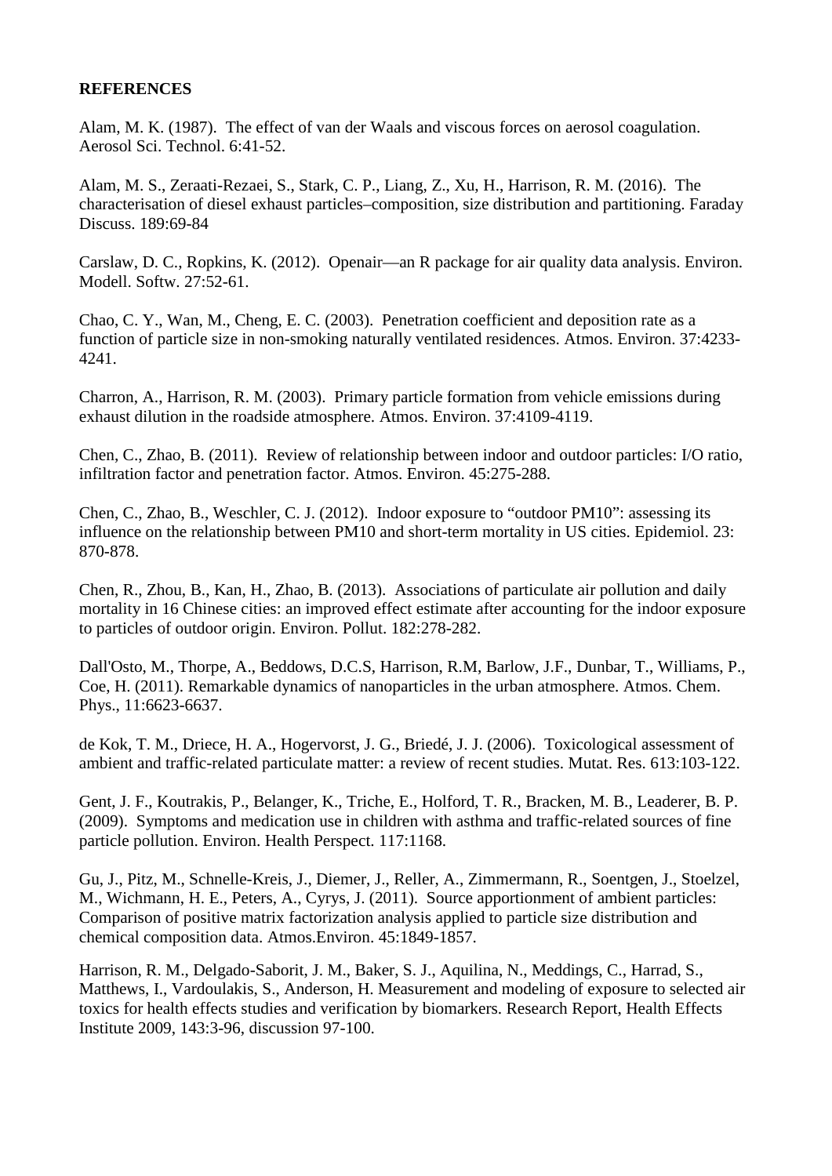#### **REFERENCES**

Alam, M. K. (1987). The effect of van der Waals and viscous forces on aerosol coagulation. Aerosol Sci. Technol. 6:41-52.

Alam, M. S., Zeraati-Rezaei, S., Stark, C. P., Liang, Z., Xu, H., Harrison, R. M. (2016). The characterisation of diesel exhaust particles–composition, size distribution and partitioning. Faraday Discuss. 189:69-84

Carslaw, D. C., Ropkins, K. (2012). Openair—an R package for air quality data analysis. Environ. Modell. Softw. 27:52-61.

Chao, C. Y., Wan, M., Cheng, E. C. (2003). Penetration coefficient and deposition rate as a function of particle size in non-smoking naturally ventilated residences. Atmos. Environ. 37:4233- 4241.

Charron, A., Harrison, R. M. (2003). Primary particle formation from vehicle emissions during exhaust dilution in the roadside atmosphere. Atmos. Environ. 37:4109-4119.

Chen, C., Zhao, B. (2011). Review of relationship between indoor and outdoor particles: I/O ratio, infiltration factor and penetration factor. Atmos. Environ. 45:275-288.

Chen, C., Zhao, B., Weschler, C. J. (2012). Indoor exposure to "outdoor PM10": assessing its influence on the relationship between PM10 and short-term mortality in US cities. Epidemiol. 23: 870-878.

Chen, R., Zhou, B., Kan, H., Zhao, B. (2013). Associations of particulate air pollution and daily mortality in 16 Chinese cities: an improved effect estimate after accounting for the indoor exposure to particles of outdoor origin. Environ. Pollut. 182:278-282.

Dall'Osto, M., Thorpe, A., Beddows, D.C.S, Harrison, R.M, Barlow, J.F., Dunbar, T., Williams, P., Coe, H. (2011). Remarkable dynamics of nanoparticles in the urban atmosphere. Atmos. Chem. Phys., 11:6623-6637.

de Kok, T. M., Driece, H. A., Hogervorst, J. G., Briedé, J. J. (2006). Toxicological assessment of ambient and traffic-related particulate matter: a review of recent studies. Mutat. Res. 613:103-122.

Gent, J. F., Koutrakis, P., Belanger, K., Triche, E., Holford, T. R., Bracken, M. B., Leaderer, B. P. (2009). Symptoms and medication use in children with asthma and traffic-related sources of fine particle pollution. Environ. Health Perspect. 117:1168.

Gu, J., Pitz, M., Schnelle-Kreis, J., Diemer, J., Reller, A., Zimmermann, R., Soentgen, J., Stoelzel, M., Wichmann, H. E., Peters, A., Cyrys, J. (2011). Source apportionment of ambient particles: Comparison of positive matrix factorization analysis applied to particle size distribution and chemical composition data. Atmos.Environ. 45:1849-1857.

Harrison, R. M., Delgado-Saborit, J. M., Baker, S. J., Aquilina, N., Meddings, C., Harrad, S., Matthews, I., Vardoulakis, S., Anderson, H. Measurement and modeling of exposure to selected air toxics for health effects studies and verification by biomarkers. Research Report, Health Effects Institute 2009, 143:3-96, discussion 97-100.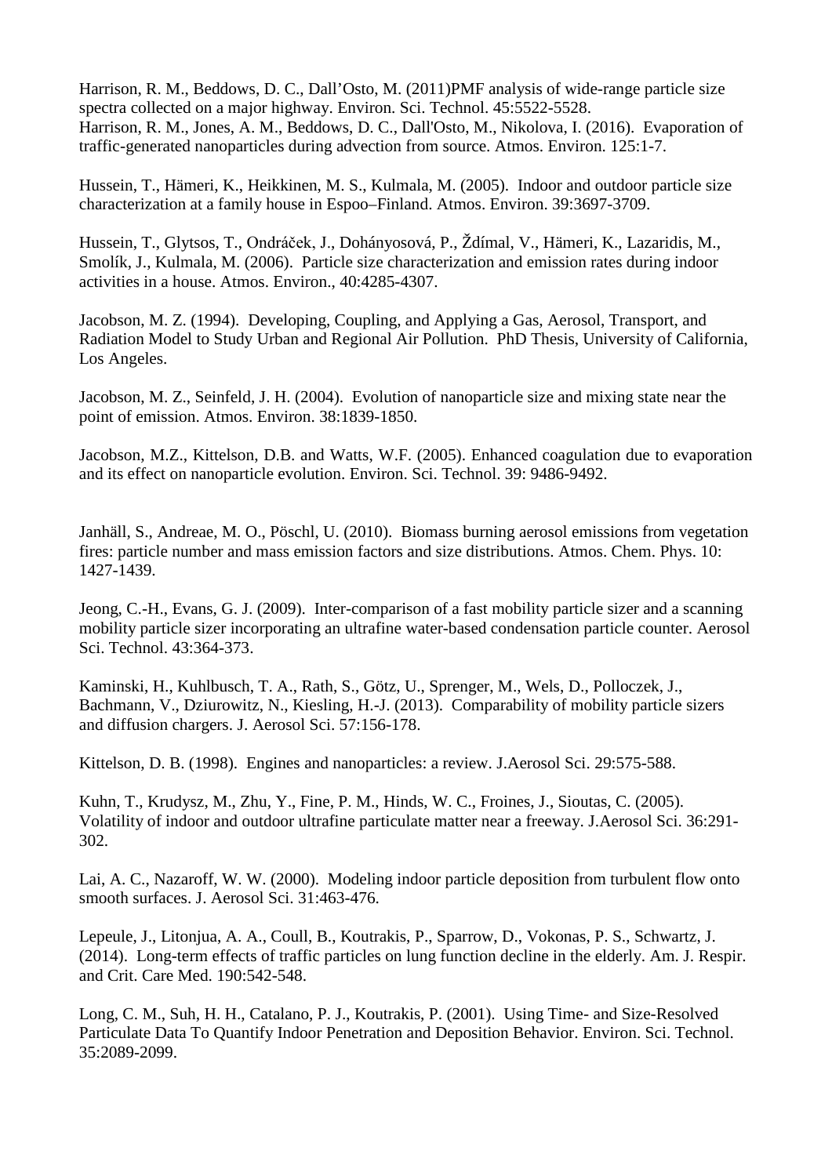Harrison, R. M., Beddows, D. C., Dall'Osto, M. (2011)PMF analysis of wide-range particle size spectra collected on a major highway. Environ. Sci. Technol. 45:5522-5528. Harrison, R. M., Jones, A. M., Beddows, D. C., Dall'Osto, M., Nikolova, I. (2016). Evaporation of traffic-generated nanoparticles during advection from source. Atmos. Environ. 125:1-7.

Hussein, T., Hämeri, K., Heikkinen, M. S., Kulmala, M. (2005). Indoor and outdoor particle size characterization at a family house in Espoo–Finland. Atmos. Environ. 39:3697-3709.

Hussein, T., Glytsos, T., Ondráček, J., Dohányosová, P., Ždímal, V., Hämeri, K., Lazaridis, M., Smolík, J., Kulmala, M. (2006). Particle size characterization and emission rates during indoor activities in a house. Atmos. Environ., 40:4285-4307.

Jacobson, M. Z. (1994). Developing, Coupling, and Applying a Gas, Aerosol, Transport, and Radiation Model to Study Urban and Regional Air Pollution. PhD Thesis, University of California, Los Angeles.

Jacobson, M. Z., Seinfeld, J. H. (2004). Evolution of nanoparticle size and mixing state near the point of emission. Atmos. Environ. 38:1839-1850.

Jacobson, M.Z., Kittelson, D.B. and Watts, W.F. (2005). Enhanced coagulation due to evaporation and its effect on nanoparticle evolution. Environ. Sci. Technol. 39: 9486-9492.

Janhäll, S., Andreae, M. O., Pöschl, U. (2010). Biomass burning aerosol emissions from vegetation fires: particle number and mass emission factors and size distributions. Atmos. Chem. Phys. 10: 1427-1439.

Jeong, C.-H., Evans, G. J. (2009). Inter-comparison of a fast mobility particle sizer and a scanning mobility particle sizer incorporating an ultrafine water-based condensation particle counter. Aerosol Sci. Technol. 43:364-373.

Kaminski, H., Kuhlbusch, T. A., Rath, S., Götz, U., Sprenger, M., Wels, D., Polloczek, J., Bachmann, V., Dziurowitz, N., Kiesling, H.-J. (2013). Comparability of mobility particle sizers and diffusion chargers. J. Aerosol Sci. 57:156-178.

Kittelson, D. B. (1998). Engines and nanoparticles: a review. J.Aerosol Sci. 29:575-588.

Kuhn, T., Krudysz, M., Zhu, Y., Fine, P. M., Hinds, W. C., Froines, J., Sioutas, C. (2005). Volatility of indoor and outdoor ultrafine particulate matter near a freeway. J.Aerosol Sci. 36:291- 302.

Lai, A. C., Nazaroff, W. W. (2000). Modeling indoor particle deposition from turbulent flow onto smooth surfaces. J. Aerosol Sci. 31:463-476.

Lepeule, J., Litonjua, A. A., Coull, B., Koutrakis, P., Sparrow, D., Vokonas, P. S., Schwartz, J. (2014). Long-term effects of traffic particles on lung function decline in the elderly. Am. J. Respir. and Crit. Care Med. 190:542-548.

Long, C. M., Suh, H. H., Catalano, P. J., Koutrakis, P. (2001). Using Time- and Size-Resolved Particulate Data To Quantify Indoor Penetration and Deposition Behavior. Environ. Sci. Technol. 35:2089-2099.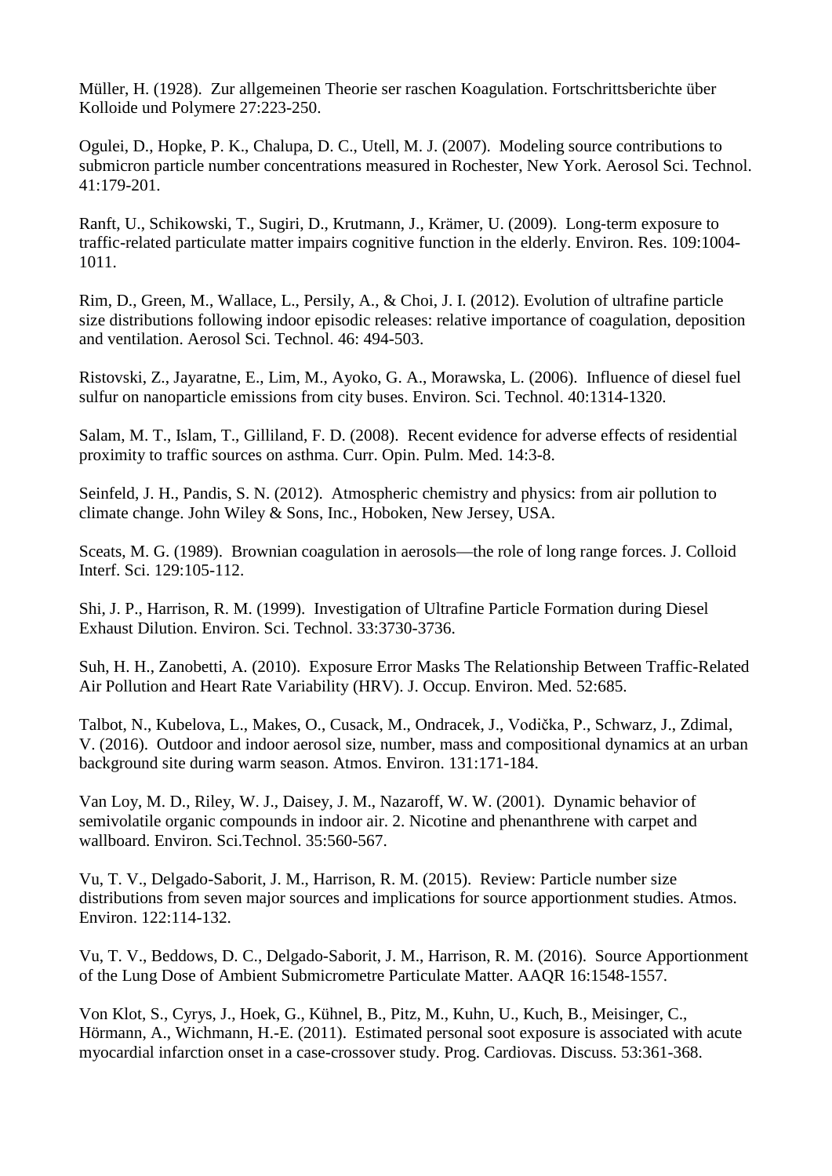Müller, H. (1928). Zur allgemeinen Theorie ser raschen Koagulation. Fortschrittsberichte über Kolloide und Polymere 27:223-250.

Ogulei, D., Hopke, P. K., Chalupa, D. C., Utell, M. J. (2007). Modeling source contributions to submicron particle number concentrations measured in Rochester, New York. Aerosol Sci. Technol. 41:179-201.

Ranft, U., Schikowski, T., Sugiri, D., Krutmann, J., Krämer, U. (2009). Long-term exposure to traffic-related particulate matter impairs cognitive function in the elderly. Environ. Res. 109:1004- 1011.

Rim, D., Green, M., Wallace, L., Persily, A., & Choi, J. I. (2012). Evolution of ultrafine particle size distributions following indoor episodic releases: relative importance of coagulation, deposition and ventilation. Aerosol Sci. Technol. 46: 494-503.

Ristovski, Z., Jayaratne, E., Lim, M., Ayoko, G. A., Morawska, L. (2006). Influence of diesel fuel sulfur on nanoparticle emissions from city buses. Environ. Sci. Technol. 40:1314-1320.

Salam, M. T., Islam, T., Gilliland, F. D. (2008). Recent evidence for adverse effects of residential proximity to traffic sources on asthma. Curr. Opin. Pulm. Med. 14:3-8.

Seinfeld, J. H., Pandis, S. N. (2012). Atmospheric chemistry and physics: from air pollution to climate change. John Wiley & Sons, Inc., Hoboken, New Jersey, USA.

Sceats, M. G. (1989). Brownian coagulation in aerosols—the role of long range forces. J. Colloid Interf. Sci. 129:105-112.

Shi, J. P., Harrison, R. M. (1999). Investigation of Ultrafine Particle Formation during Diesel Exhaust Dilution. Environ. Sci. Technol. 33:3730-3736.

Suh, H. H., Zanobetti, A. (2010). Exposure Error Masks The Relationship Between Traffic-Related Air Pollution and Heart Rate Variability (HRV). J. Occup. Environ. Med. 52:685.

Talbot, N., Kubelova, L., Makes, O., Cusack, M., Ondracek, J., Vodička, P., Schwarz, J., Zdimal, V. (2016). Outdoor and indoor aerosol size, number, mass and compositional dynamics at an urban background site during warm season. Atmos. Environ. 131:171-184.

Van Loy, M. D., Riley, W. J., Daisey, J. M., Nazaroff, W. W. (2001). Dynamic behavior of semivolatile organic compounds in indoor air. 2. Nicotine and phenanthrene with carpet and wallboard. Environ. Sci.Technol. 35:560-567.

Vu, T. V., Delgado-Saborit, J. M., Harrison, R. M. (2015). Review: Particle number size distributions from seven major sources and implications for source apportionment studies. Atmos. Environ. 122:114-132.

Vu, T. V., Beddows, D. C., Delgado-Saborit, J. M., Harrison, R. M. (2016). Source Apportionment of the Lung Dose of Ambient Submicrometre Particulate Matter. AAQR 16:1548-1557.

Von Klot, S., Cyrys, J., Hoek, G., Kühnel, B., Pitz, M., Kuhn, U., Kuch, B., Meisinger, C., Hörmann, A., Wichmann, H.-E. (2011). Estimated personal soot exposure is associated with acute myocardial infarction onset in a case-crossover study. Prog. Cardiovas. Discuss. 53:361-368.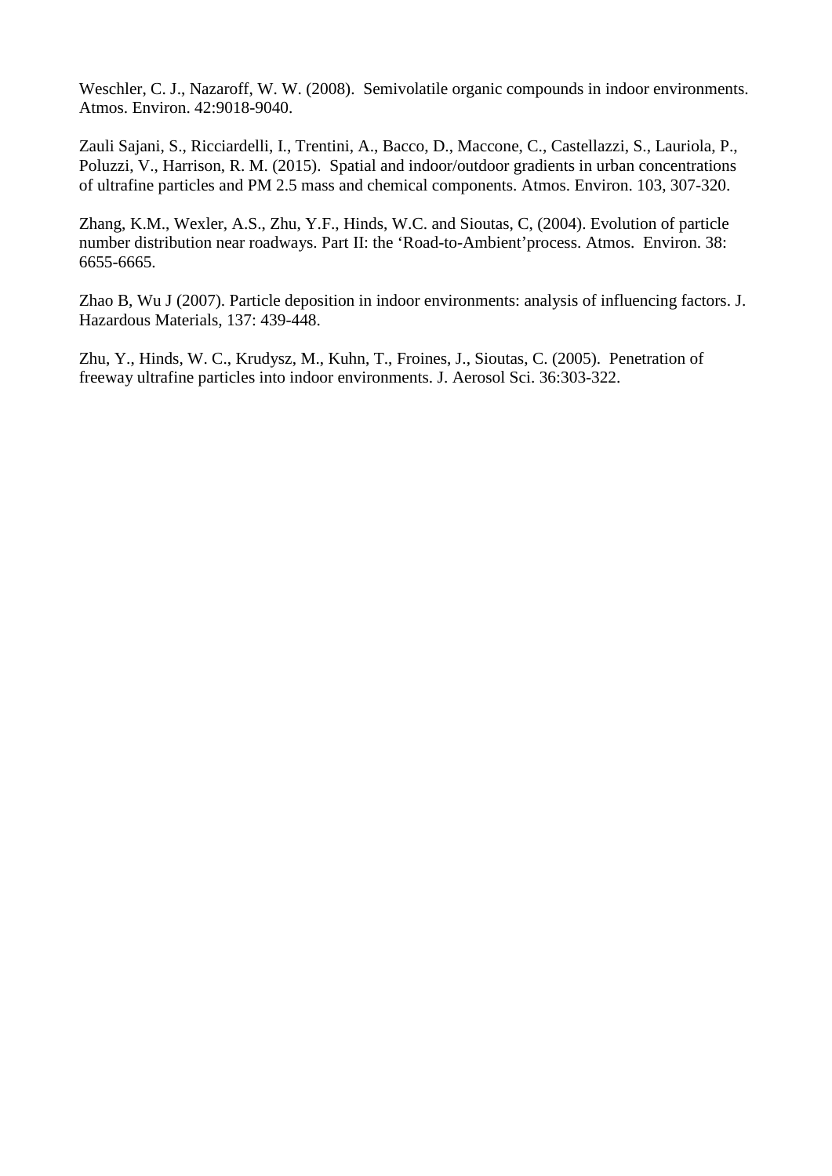Weschler, C. J., Nazaroff, W. W. (2008). Semivolatile organic compounds in indoor environments. Atmos. Environ. 42:9018-9040.

Zauli Sajani, S., Ricciardelli, I., Trentini, A., Bacco, D., Maccone, C., Castellazzi, S., Lauriola, P., Poluzzi, V., Harrison, R. M. (2015). Spatial and indoor/outdoor gradients in urban concentrations of ultrafine particles and PM 2.5 mass and chemical components. Atmos. Environ. 103, 307-320.

Zhang, K.M., Wexler, A.S., Zhu, Y.F., Hinds, W.C. and Sioutas, C, (2004). Evolution of particle number distribution near roadways. Part II: the 'Road-to-Ambient'process. Atmos. Environ. 38: 6655-6665.

Zhao B, Wu J (2007). Particle deposition in indoor environments: analysis of influencing factors. J. Hazardous Materials, 137: 439-448.

Zhu, Y., Hinds, W. C., Krudysz, M., Kuhn, T., Froines, J., Sioutas, C. (2005). Penetration of freeway ultrafine particles into indoor environments. J. Aerosol Sci. 36:303-322.